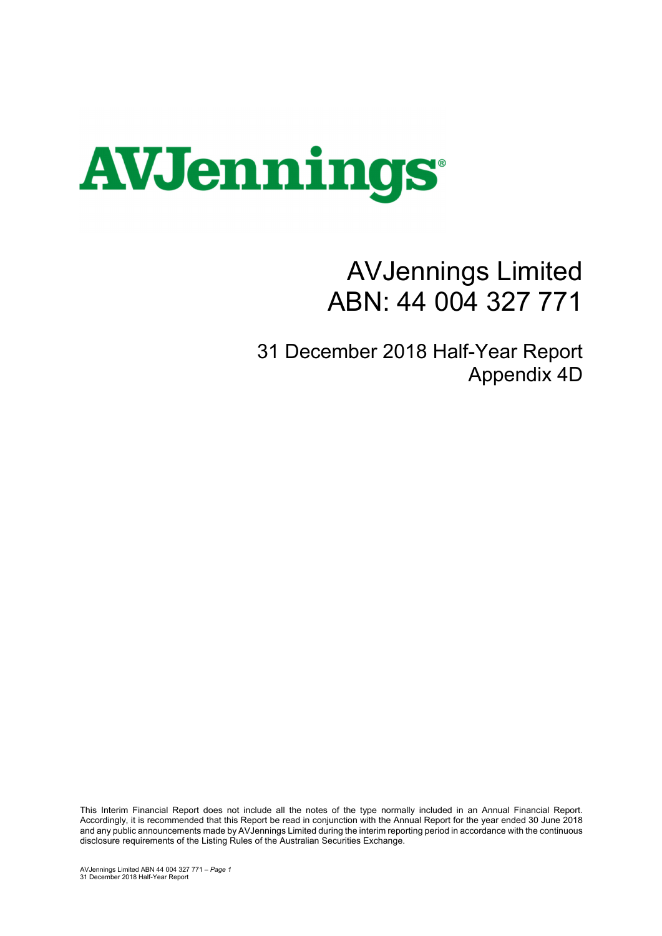

## AVJennings Limited ABN: 44 004 327 771

31 December 2018 Half-Year Report Appendix 4D

This Interim Financial Report does not include all the notes of the type normally included in an Annual Financial Report. Accordingly, it is recommended that this Report be read in conjunction with the Annual Report for the year ended 30 June 2018 and any public announcements made by AVJennings Limited during the interim reporting period in accordance with the continuous disclosure requirements of the Listing Rules of the Australian Securities Exchange.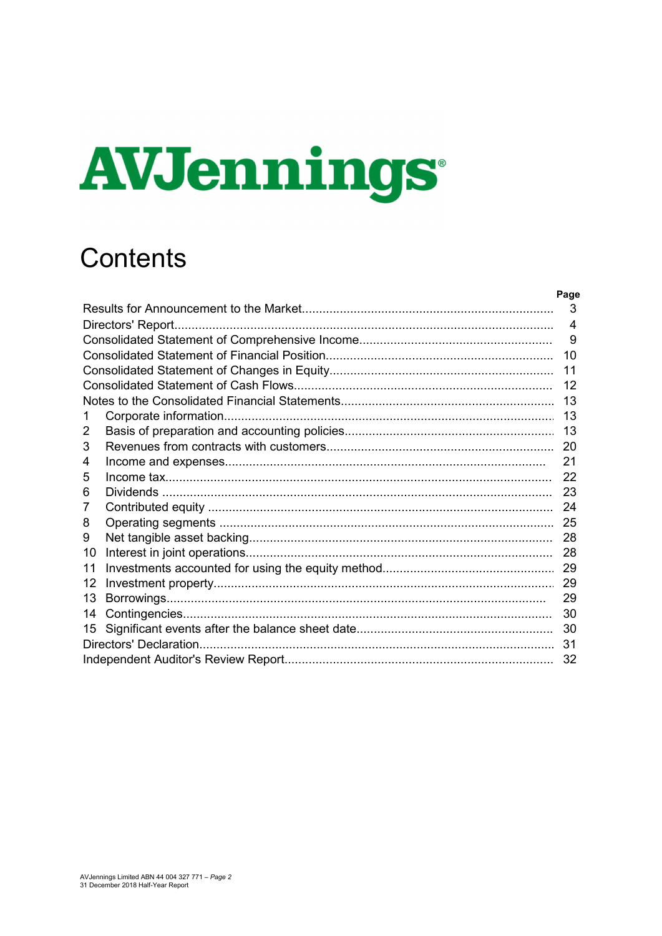# **AVJennings**

## Contents

|    | 3              |
|----|----------------|
|    | $\overline{4}$ |
|    | 9              |
|    | 10             |
|    | 11             |
|    | 12             |
|    | 13             |
| 1  | 13             |
| 2  | 13             |
| 3  | 20             |
| 4  | 21             |
| 5  | 22             |
| 6  | 23             |
| 7  | 24             |
| 8  | 25             |
| 9  | 28             |
| 10 | 28             |
| 11 | 29             |
| 12 | 29             |
| 13 | 29             |
| 14 | 30             |
| 15 | 30             |
|    | 31             |
|    | 32             |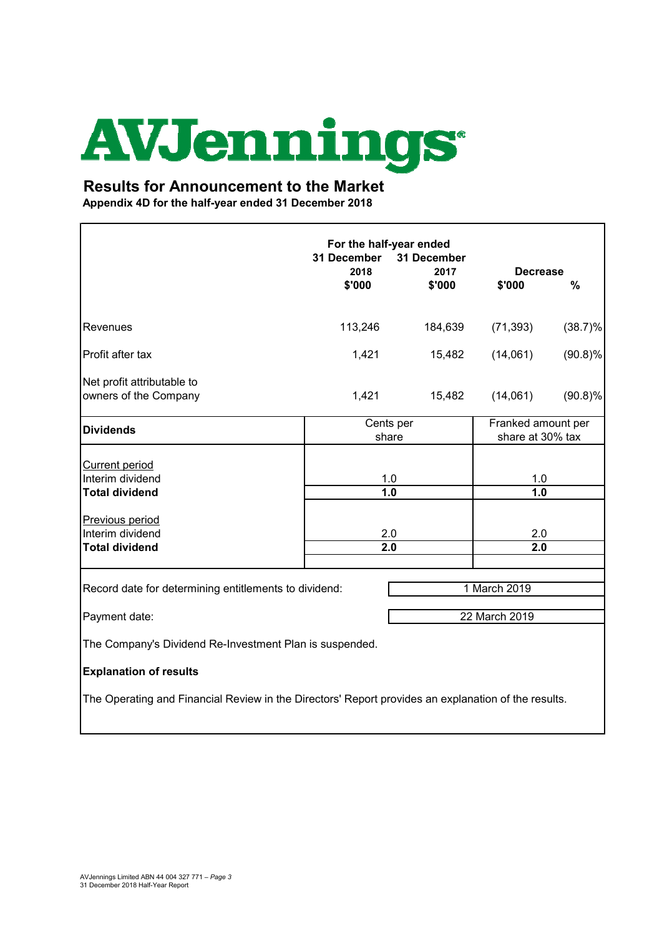# **AVJennings**

#### **Results for Announcement to the Market**

**Appendix 4D for the half-year ended 31 December 2018**

'n

|                                                                                                     | For the half-year ended<br>31 December<br>31 December<br>2018<br>2017<br><b>Decrease</b> |                    |               |                                        |  |
|-----------------------------------------------------------------------------------------------------|------------------------------------------------------------------------------------------|--------------------|---------------|----------------------------------------|--|
|                                                                                                     | \$'000                                                                                   | \$'000             | \$'000        | %                                      |  |
| Revenues                                                                                            | 113,246                                                                                  | 184,639            | (71, 393)     | $(38.7)\%$                             |  |
| Profit after tax                                                                                    | 1,421                                                                                    | 15,482             | (14,061)      | $(90.8)\%$                             |  |
| Net profit attributable to<br>owners of the Company                                                 | 1,421                                                                                    | 15,482             | (14,061)      | (90.8)%                                |  |
| <b>Dividends</b>                                                                                    |                                                                                          | Cents per<br>share |               | Franked amount per<br>share at 30% tax |  |
| <b>Current period</b><br>Interim dividend                                                           | 1.0                                                                                      |                    | 1.0           |                                        |  |
| <b>Total dividend</b><br>Previous period<br>Interim dividend                                        | 1.0<br>2.0                                                                               |                    | 1.0<br>2.0    |                                        |  |
| <b>Total dividend</b>                                                                               | 2.0                                                                                      |                    | 2.0           |                                        |  |
| Record date for determining entitlements to dividend:                                               |                                                                                          |                    | 1 March 2019  |                                        |  |
| Payment date:                                                                                       |                                                                                          |                    | 22 March 2019 |                                        |  |
| The Company's Dividend Re-Investment Plan is suspended.                                             |                                                                                          |                    |               |                                        |  |
| <b>Explanation of results</b>                                                                       |                                                                                          |                    |               |                                        |  |
| The Operating and Financial Review in the Directors' Report provides an explanation of the results. |                                                                                          |                    |               |                                        |  |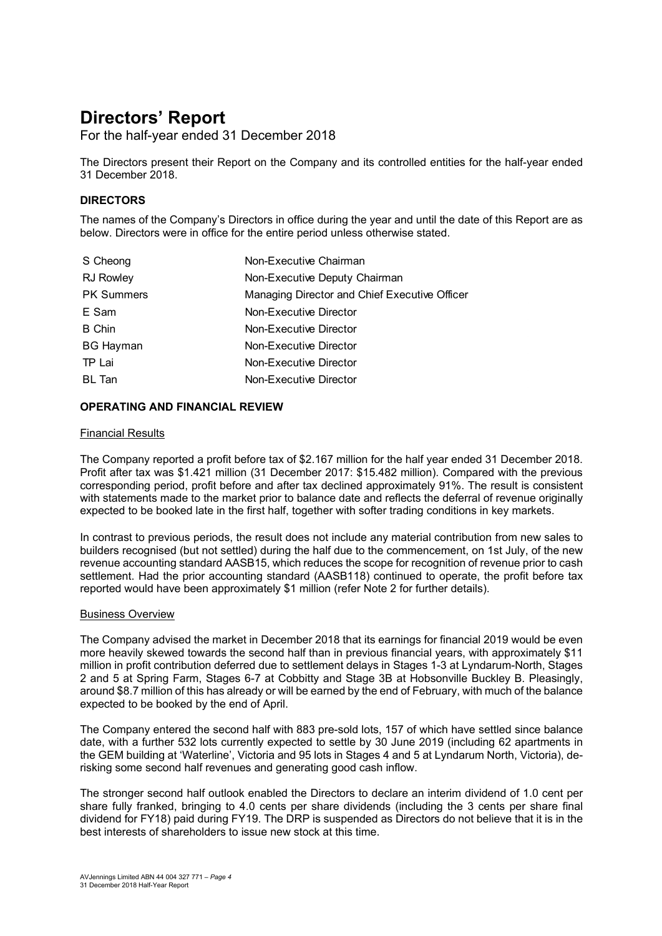For the half-year ended 31 December 2018

The Directors present their Report on the Company and its controlled entities for the half-year ended 31 December 2018.

#### **DIRECTORS**

The names of the Company's Directors in office during the year and until the date of this Report are as below. Directors were in office for the entire period unless otherwise stated.

| Non-Executive Chairman                        |
|-----------------------------------------------|
| Non-Executive Deputy Chairman                 |
| Managing Director and Chief Executive Officer |
| Non-Executive Director                        |
| Non-Executive Director                        |
| Non-Executive Director                        |
| Non-Executive Director                        |
| Non-Executive Director                        |
|                                               |

#### **OPERATING AND FINANCIAL REVIEW**

#### Financial Results

The Company reported a profit before tax of \$2.167 million for the half year ended 31 December 2018. Profit after tax was \$1.421 million (31 December 2017: \$15.482 million). Compared with the previous corresponding period, profit before and after tax declined approximately 91%. The result is consistent with statements made to the market prior to balance date and reflects the deferral of revenue originally expected to be booked late in the first half, together with softer trading conditions in key markets.

In contrast to previous periods, the result does not include any material contribution from new sales to builders recognised (but not settled) during the half due to the commencement, on 1st July, of the new revenue accounting standard AASB15, which reduces the scope for recognition of revenue prior to cash settlement. Had the prior accounting standard (AASB118) continued to operate, the profit before tax reported would have been approximately \$1 million (refer Note 2 for further details).

#### Business Overview

The Company advised the market in December 2018 that its earnings for financial 2019 would be even more heavily skewed towards the second half than in previous financial years, with approximately \$11 million in profit contribution deferred due to settlement delays in Stages 1-3 at Lyndarum-North, Stages 2 and 5 at Spring Farm, Stages 6-7 at Cobbitty and Stage 3B at Hobsonville Buckley B. Pleasingly, around \$8.7 million of this has already or will be earned by the end of February, with much of the balance expected to be booked by the end of April.

The Company entered the second half with 883 pre-sold lots, 157 of which have settled since balance date, with a further 532 lots currently expected to settle by 30 June 2019 (including 62 apartments in the GEM building at 'Waterline', Victoria and 95 lots in Stages 4 and 5 at Lyndarum North, Victoria), derisking some second half revenues and generating good cash inflow.

The stronger second half outlook enabled the Directors to declare an interim dividend of 1.0 cent per share fully franked, bringing to 4.0 cents per share dividends (including the 3 cents per share final dividend for FY18) paid during FY19. The DRP is suspended as Directors do not believe that it is in the best interests of shareholders to issue new stock at this time.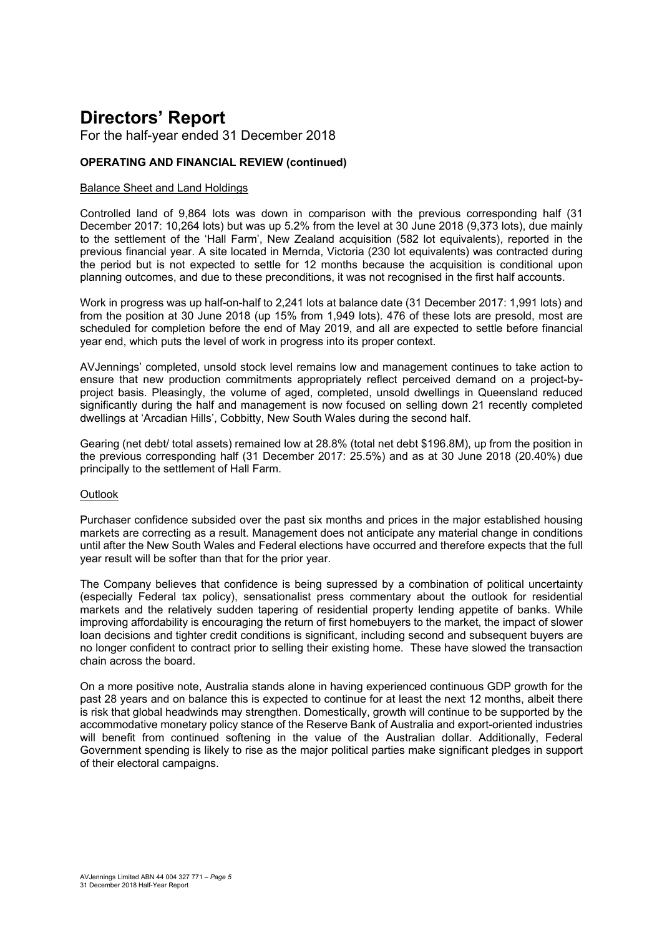For the half-year ended 31 December 2018

#### **OPERATING AND FINANCIAL REVIEW (continued)**

#### Balance Sheet and Land Holdings

Controlled land of 9,864 lots was down in comparison with the previous corresponding half (31 December 2017: 10,264 lots) but was up 5.2% from the level at 30 June 2018 (9,373 lots), due mainly to the settlement of the 'Hall Farm', New Zealand acquisition (582 lot equivalents), reported in the previous financial year. A site located in Mernda, Victoria (230 lot equivalents) was contracted during the period but is not expected to settle for 12 months because the acquisition is conditional upon planning outcomes, and due to these preconditions, it was not recognised in the first half accounts.

Work in progress was up half-on-half to 2,241 lots at balance date (31 December 2017: 1,991 lots) and from the position at 30 June 2018 (up 15% from 1,949 lots). 476 of these lots are presold, most are scheduled for completion before the end of May 2019, and all are expected to settle before financial year end, which puts the level of work in progress into its proper context.

AVJennings' completed, unsold stock level remains low and management continues to take action to ensure that new production commitments appropriately reflect perceived demand on a project-byproject basis. Pleasingly, the volume of aged, completed, unsold dwellings in Queensland reduced significantly during the half and management is now focused on selling down 21 recently completed dwellings at 'Arcadian Hills', Cobbitty, New South Wales during the second half.

Gearing (net debt/ total assets) remained low at 28.8% (total net debt \$196.8M), up from the position in the previous corresponding half (31 December 2017: 25.5%) and as at 30 June 2018 (20.40%) due principally to the settlement of Hall Farm.

#### **Outlook**

Purchaser confidence subsided over the past six months and prices in the major established housing markets are correcting as a result. Management does not anticipate any material change in conditions until after the New South Wales and Federal elections have occurred and therefore expects that the full year result will be softer than that for the prior year.

The Company believes that confidence is being supressed by a combination of political uncertainty (especially Federal tax policy), sensationalist press commentary about the outlook for residential markets and the relatively sudden tapering of residential property lending appetite of banks. While improving affordability is encouraging the return of first homebuyers to the market, the impact of slower loan decisions and tighter credit conditions is significant, including second and subsequent buyers are no longer confident to contract prior to selling their existing home. These have slowed the transaction chain across the board.

On a more positive note, Australia stands alone in having experienced continuous GDP growth for the past 28 years and on balance this is expected to continue for at least the next 12 months, albeit there is risk that global headwinds may strengthen. Domestically, growth will continue to be supported by the accommodative monetary policy stance of the Reserve Bank of Australia and export-oriented industries will benefit from continued softening in the value of the Australian dollar. Additionally, Federal Government spending is likely to rise as the major political parties make significant pledges in support of their electoral campaigns.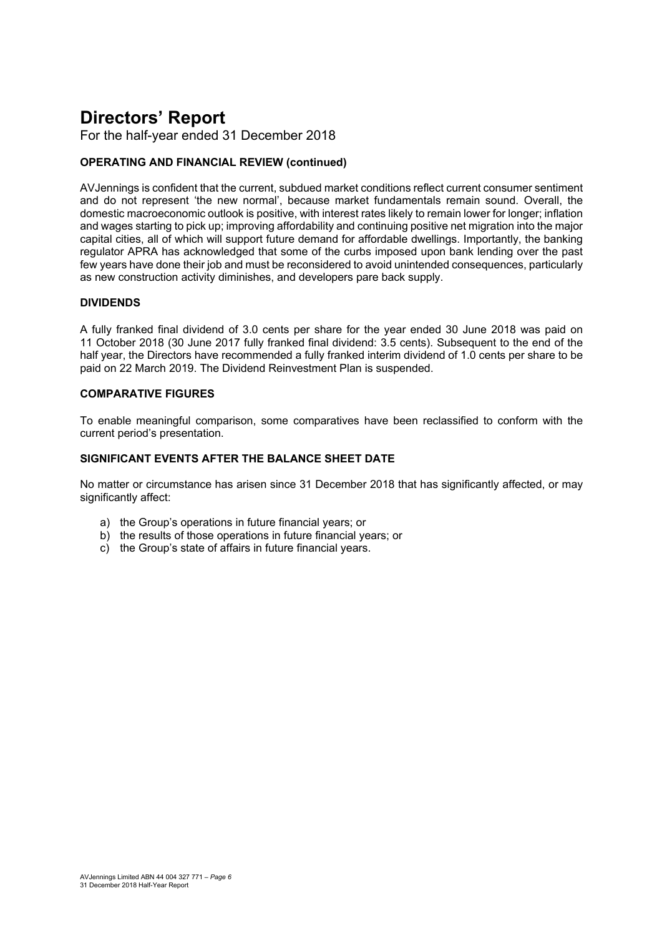For the half-year ended 31 December 2018

#### **OPERATING AND FINANCIAL REVIEW (continued)**

AVJennings is confident that the current, subdued market conditions reflect current consumer sentiment and do not represent 'the new normal', because market fundamentals remain sound. Overall, the domestic macroeconomic outlook is positive, with interest rates likely to remain lower for longer; inflation and wages starting to pick up; improving affordability and continuing positive net migration into the major capital cities, all of which will support future demand for affordable dwellings. Importantly, the banking regulator APRA has acknowledged that some of the curbs imposed upon bank lending over the past few years have done their job and must be reconsidered to avoid unintended consequences, particularly as new construction activity diminishes, and developers pare back supply.

#### **DIVIDENDS**

A fully franked final dividend of 3.0 cents per share for the year ended 30 June 2018 was paid on 11 October 2018 (30 June 2017 fully franked final dividend: 3.5 cents). Subsequent to the end of the half year, the Directors have recommended a fully franked interim dividend of 1.0 cents per share to be paid on 22 March 2019. The Dividend Reinvestment Plan is suspended.

#### **COMPARATIVE FIGURES**

To enable meaningful comparison, some comparatives have been reclassified to conform with the current period's presentation.

#### **SIGNIFICANT EVENTS AFTER THE BALANCE SHEET DATE**

No matter or circumstance has arisen since 31 December 2018 that has significantly affected, or may significantly affect:

- a) the Group's operations in future financial years; or
- b) the results of those operations in future financial years; or
- c) the Group's state of affairs in future financial years.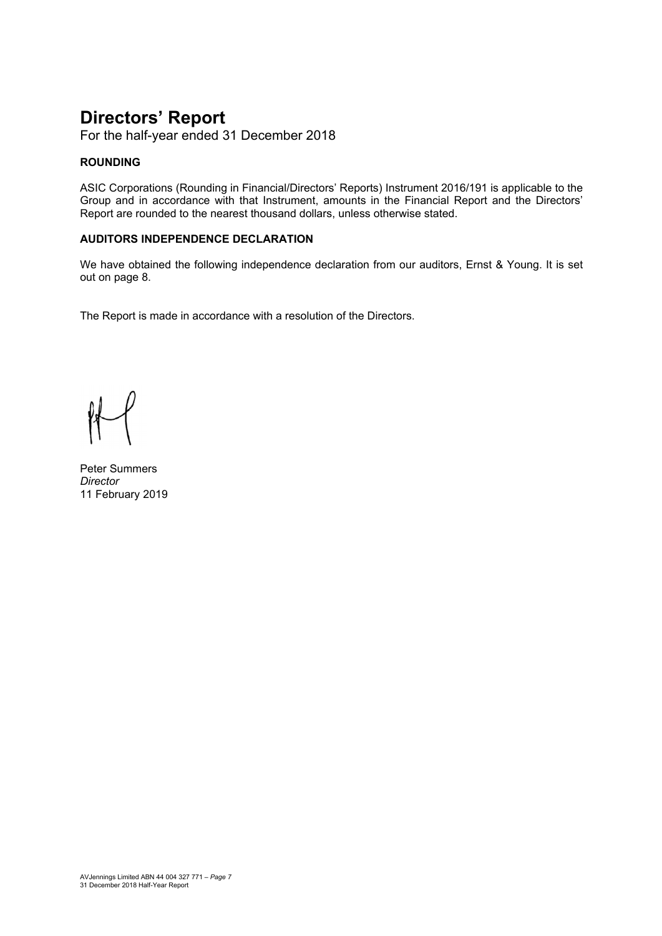For the half-year ended 31 December 2018

#### **ROUNDING**

ASIC Corporations (Rounding in Financial/Directors' Reports) Instrument 2016/191 is applicable to the Group and in accordance with that Instrument, amounts in the Financial Report and the Directors' Report are rounded to the nearest thousand dollars, unless otherwise stated.

#### **AUDITORS INDEPENDENCE DECLARATION**

We have obtained the following independence declaration from our auditors, Ernst & Young. It is set out on page 8.

The Report is made in accordance with a resolution of the Directors.

Peter Summers *Director*  11 February 2019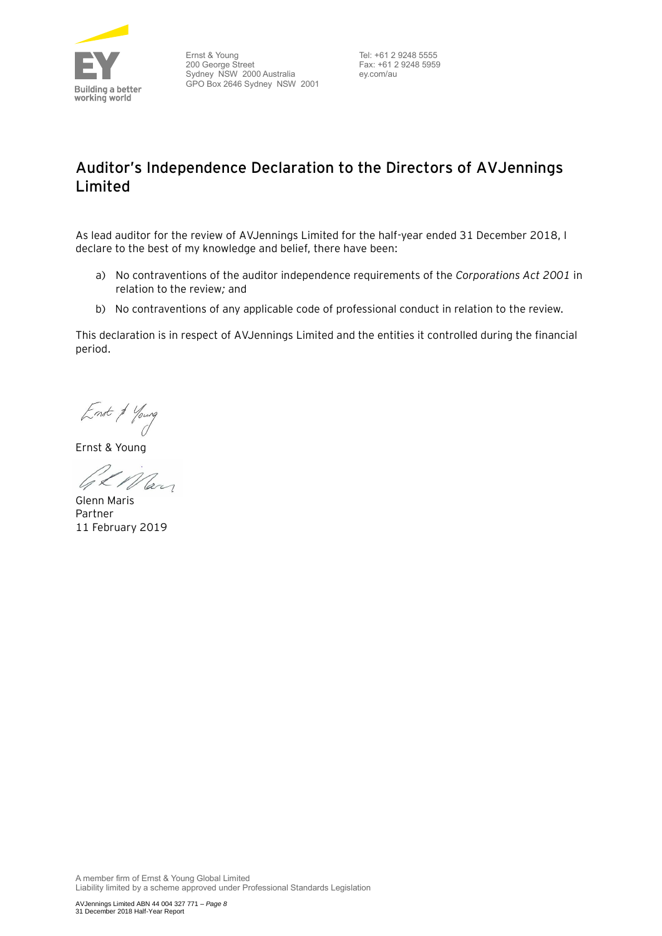

Ernst & Young 200 George Street Sydney NSW 2000 Australia GPO Box 2646 Sydney NSW 2001

Tel: +61 2 9248 5555 Fax: +61 2 9248 5959 ey.com/au

### **Auditor's Independence Declaration to the Directors of AVJennings Limited**

As lead auditor for the review of AVJennings Limited for the half-year ended 31 December 2018, I declare to the best of my knowledge and belief, there have been:

- a) No contraventions of the auditor independence requirements of the *Corporations Act 2001* in relation to the review*;* and
- b) No contraventions of any applicable code of professional conduct in relation to the review.

This declaration is in respect of AVJennings Limited and the entities it controlled during the financial period.

Enst & Young

Ernst & Young

GL Man

Glenn Maris Partner 11 February 2019

A member firm of Ernst & Young Global Limited Liability limited by a scheme approved under Professional Standards Legislation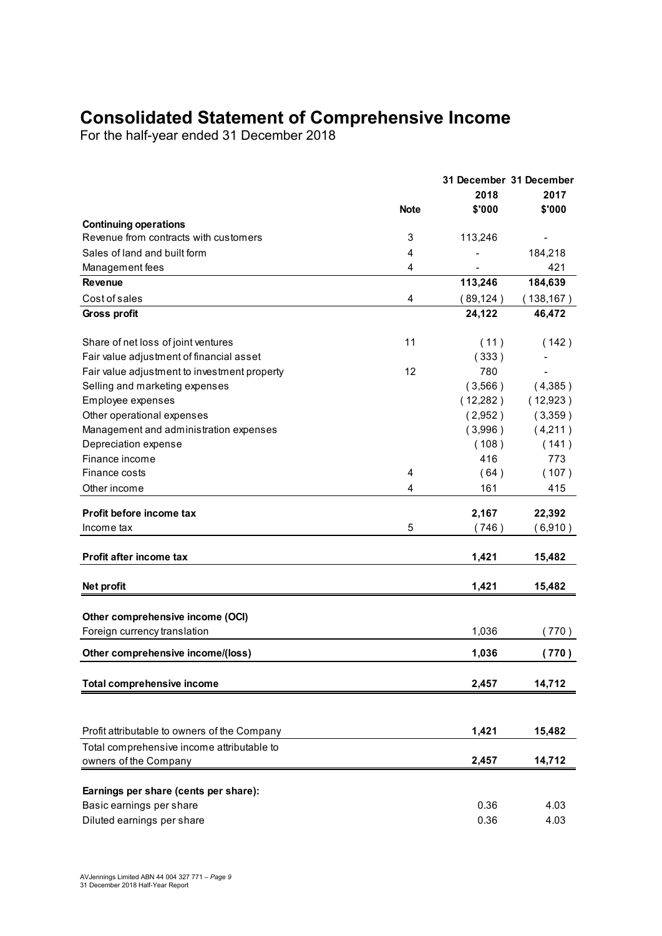## **Consolidated Statement of Comprehensive Income**

For the half-year ended 31 December 2018

|                                              |             | 31 December 31 December |                              |  |  |
|----------------------------------------------|-------------|-------------------------|------------------------------|--|--|
|                                              |             | 2018                    | 2017                         |  |  |
|                                              | <b>Note</b> | \$'000                  | \$'000                       |  |  |
| <b>Continuing operations</b>                 |             |                         |                              |  |  |
| Revenue from contracts with customers        | 3           | 113,246                 | $\qquad \qquad \blacksquare$ |  |  |
| Sales of land and built form                 | 4           |                         | 184,218                      |  |  |
| Management fees                              | 4           |                         | 421                          |  |  |
| Revenue                                      |             | 113,246                 | 184,639                      |  |  |
| Cost of sales                                | 4           | (89, 124)               | (138, 167)                   |  |  |
| <b>Gross profit</b>                          |             | 24,122                  | 46,472                       |  |  |
| Share of net loss of joint ventures          | 11          | (11)                    | (142)                        |  |  |
| Fair value adjustment of financial asset     |             | (333)                   |                              |  |  |
| Fair value adjustment to investment property | 12          | 780                     |                              |  |  |
| Selling and marketing expenses               |             | (3,566)                 | (4,385)                      |  |  |
| Employee expenses                            |             | (12,282)                | (12,923)                     |  |  |
| Other operational expenses                   |             | (2,952)                 | (3,359)                      |  |  |
| Management and administration expenses       |             | (3,996)                 | (4,211)                      |  |  |
| Depreciation expense                         |             | (108)                   | (141)                        |  |  |
| Finance income                               |             | 416                     | 773                          |  |  |
| Finance costs                                | 4           | (64)                    | (107)                        |  |  |
| Other income                                 | 4           | 161                     | 415                          |  |  |
|                                              |             |                         |                              |  |  |
| Profit before income tax                     |             | 2,167                   | 22,392                       |  |  |
| Income tax                                   | 5           | (746)                   | (6,910)                      |  |  |
|                                              |             |                         |                              |  |  |
| <b>Profit after income tax</b>               |             | 1,421                   | 15,482                       |  |  |
| Net profit                                   |             | 1,421                   | 15,482                       |  |  |
|                                              |             |                         |                              |  |  |
| Other comprehensive income (OCI)             |             |                         |                              |  |  |
| Foreign currency translation                 |             | 1,036                   | 770)                         |  |  |
| Other comprehensive income/(loss)            |             | 1,036                   | (770)                        |  |  |
| <b>Total comprehensive income</b>            |             | 2,457                   | 14,712                       |  |  |
|                                              |             |                         |                              |  |  |
|                                              |             |                         |                              |  |  |
| Profit attributable to owners of the Company |             | 1,421                   | 15,482                       |  |  |
| Total comprehensive income attributable to   |             |                         |                              |  |  |
| owners of the Company                        |             | 2,457                   | 14,712                       |  |  |
| Earnings per share (cents per share):        |             |                         |                              |  |  |
| Basic earnings per share                     |             | 0.36                    | 4.03                         |  |  |
| Diluted earnings per share                   |             | 0.36                    | 4.03                         |  |  |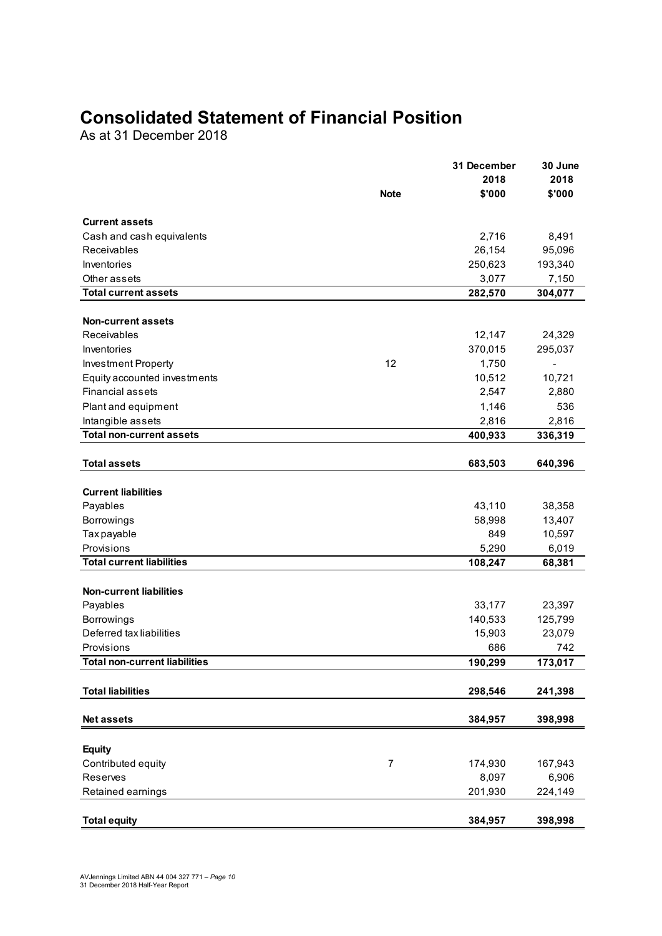## **Consolidated Statement of Financial Position**

As at 31 December 2018

|                                  |                | 31 December | 30 June                  |
|----------------------------------|----------------|-------------|--------------------------|
|                                  |                | 2018        | 2018                     |
|                                  | <b>Note</b>    | \$'000      | \$'000                   |
| <b>Current assets</b>            |                |             |                          |
| Cash and cash equivalents        |                | 2,716       | 8,491                    |
| Receivables                      |                | 26,154      | 95,096                   |
| Inventories                      |                | 250,623     | 193,340                  |
| Other assets                     |                | 3,077       | 7,150                    |
| <b>Total current assets</b>      |                | 282,570     | 304,077                  |
|                                  |                |             |                          |
| <b>Non-current assets</b>        |                |             |                          |
| Receivables                      |                | 12,147      | 24,329                   |
| Inventories                      |                | 370,015     | 295,037                  |
| Investment Property              | 12             | 1,750       | $\overline{\phantom{a}}$ |
| Equity accounted investments     |                | 10,512      | 10,721                   |
| <b>Financial assets</b>          |                | 2,547       | 2,880                    |
| Plant and equipment              |                | 1,146       | 536                      |
| Intangible assets                |                | 2,816       | 2,816                    |
| <b>Total non-current assets</b>  |                | 400,933     | 336,319                  |
| <b>Total assets</b>              |                | 683,503     | 640,396                  |
|                                  |                |             |                          |
| <b>Current liabilities</b>       |                |             |                          |
| Payables                         |                | 43,110      | 38,358                   |
| Borrowings                       |                | 58,998      | 13,407                   |
| Tax payable                      |                | 849         | 10,597                   |
| Provisions                       |                | 5,290       | 6,019                    |
| <b>Total current liabilities</b> |                | 108,247     | 68,381                   |
|                                  |                |             |                          |
| <b>Non-current liabilities</b>   |                |             |                          |
| Payables                         |                | 33,177      | 23,397                   |
| <b>Borrowings</b>                |                | 140,533     | 125,799                  |
| Deferred tax liabilities         |                | 15,903      | 23,079                   |
| Provisions                       |                | 686         | 742                      |
| Total non-current liabilities    |                | 190,299     | 173,017                  |
| <b>Total liabilities</b>         |                |             |                          |
|                                  |                | 298,546     | 241,398                  |
| <b>Net assets</b>                |                | 384,957     | 398,998                  |
|                                  |                |             |                          |
| <b>Equity</b>                    |                |             |                          |
| Contributed equity               | $\overline{7}$ | 174,930     | 167,943                  |
| Reserves                         |                | 8,097       | 6,906                    |
| Retained earnings                |                | 201,930     | 224,149                  |
|                                  |                |             |                          |
| <b>Total equity</b>              |                | 384,957     | 398,998                  |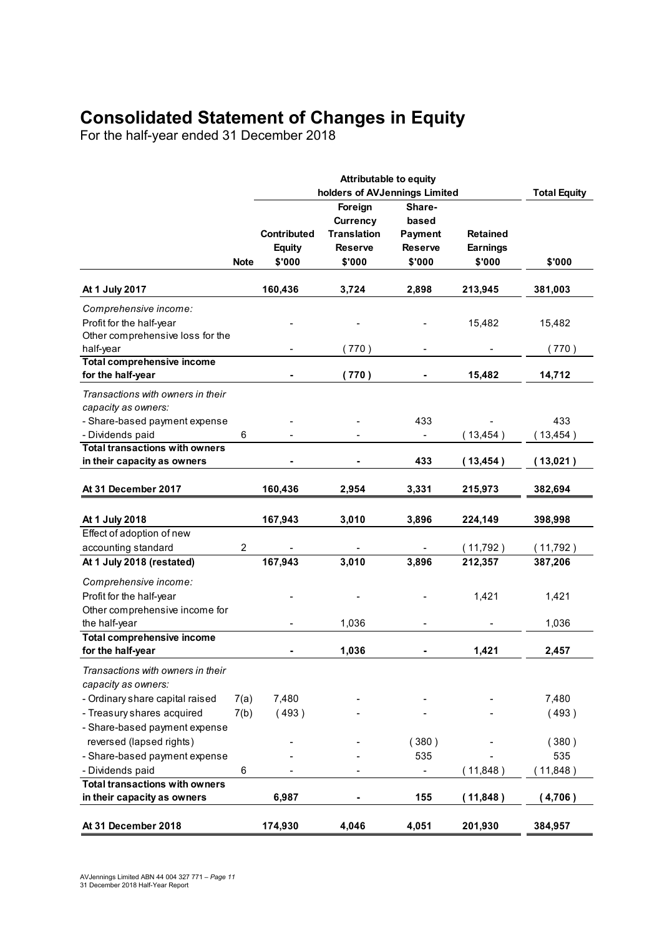## **Consolidated Statement of Changes in Equity**

For the half-year ended 31 December 2018

|                                       |             |               | <b>Attributable to equity</b> |                |                 |                     |
|---------------------------------------|-------------|---------------|-------------------------------|----------------|-----------------|---------------------|
|                                       |             |               | holders of AVJennings Limited |                |                 | <b>Total Equity</b> |
|                                       |             |               | Foreign                       | Share-         |                 |                     |
|                                       |             |               | Currency                      | based          |                 |                     |
|                                       |             | Contributed   | <b>Translation</b>            | <b>Payment</b> | <b>Retained</b> |                     |
|                                       |             | <b>Equity</b> | <b>Reserve</b>                | <b>Reserve</b> | <b>Earnings</b> |                     |
|                                       | <b>Note</b> | \$'000        | \$'000                        | \$'000         | \$'000          | \$'000              |
|                                       |             |               |                               |                |                 |                     |
| At 1 July 2017                        |             | 160,436       | 3,724                         | 2,898          | 213,945         | 381,003             |
| Comprehensive income:                 |             |               |                               |                |                 |                     |
| Profit for the half-year              |             |               |                               |                | 15,482          | 15,482              |
| Other comprehensive loss for the      |             |               |                               |                |                 |                     |
| half-year                             |             |               | 770)                          |                |                 | (770)               |
| <b>Total comprehensive income</b>     |             |               |                               |                |                 |                     |
| for the half-year                     |             |               | (770)                         |                | 15,482          | 14,712              |
| Transactions with owners in their     |             |               |                               |                |                 |                     |
| capacity as owners:                   |             |               |                               |                |                 |                     |
| - Share-based payment expense         |             |               |                               | 433            |                 | 433                 |
| - Dividends paid                      | 6           |               |                               | $\blacksquare$ | (13, 454)       | 13,454)             |
| <b>Total transactions with owners</b> |             |               |                               |                |                 |                     |
| in their capacity as owners           |             |               |                               | 433            | (13, 454)       | (13,021)            |
| At 31 December 2017                   |             | 160,436       | 2,954                         | 3,331          | 215,973         | 382,694             |
|                                       |             |               |                               |                |                 |                     |
| At 1 July 2018                        |             | 167,943       | 3,010                         | 3,896          | 224,149         | 398,998             |
| Effect of adoption of new             |             |               |                               |                |                 |                     |
| accounting standard                   | 2           |               |                               |                | (11,792)        | (11,792)            |
| At 1 July 2018 (restated)             |             | 167,943       | 3,010                         | 3,896          | 212,357         | 387,206             |
| Comprehensive income:                 |             |               |                               |                |                 |                     |
| Profit for the half-year              |             |               |                               |                | 1,421           | 1,421               |
| Other comprehensive income for        |             |               |                               |                |                 |                     |
| the half-year                         |             |               | 1,036                         |                |                 | 1,036               |
| <b>Total comprehensive income</b>     |             |               |                               |                |                 |                     |
| for the half-year                     |             |               | 1,036                         |                | 1,421           | 2,457               |
| Transactions with owners in their     |             |               |                               |                |                 |                     |
| capacity as owners:                   |             |               |                               |                |                 |                     |
| - Ordinary share capital raised       | 7(a)        | 7,480         |                               |                |                 | 7,480               |
| - Treasury shares acquired            | 7(b)        | (493)         |                               |                |                 | (493)               |
| - Share-based payment expense         |             |               |                               |                |                 |                     |
| reversed (lapsed rights)              |             |               |                               | (380)          |                 | (380)               |
| - Share-based payment expense         |             |               |                               | 535            |                 | 535                 |
| - Dividends paid                      | 6           |               |                               |                | (11, 848)       |                     |
| <b>Total transactions with owners</b> |             |               |                               |                |                 | 11,848)             |
| in their capacity as owners           |             | 6,987         |                               | 155            | (11, 848)       | (4,706)             |
|                                       |             |               |                               |                |                 |                     |
| At 31 December 2018                   |             | 174,930       | 4,046                         | 4,051          | 201,930         | 384,957             |
|                                       |             |               |                               |                |                 |                     |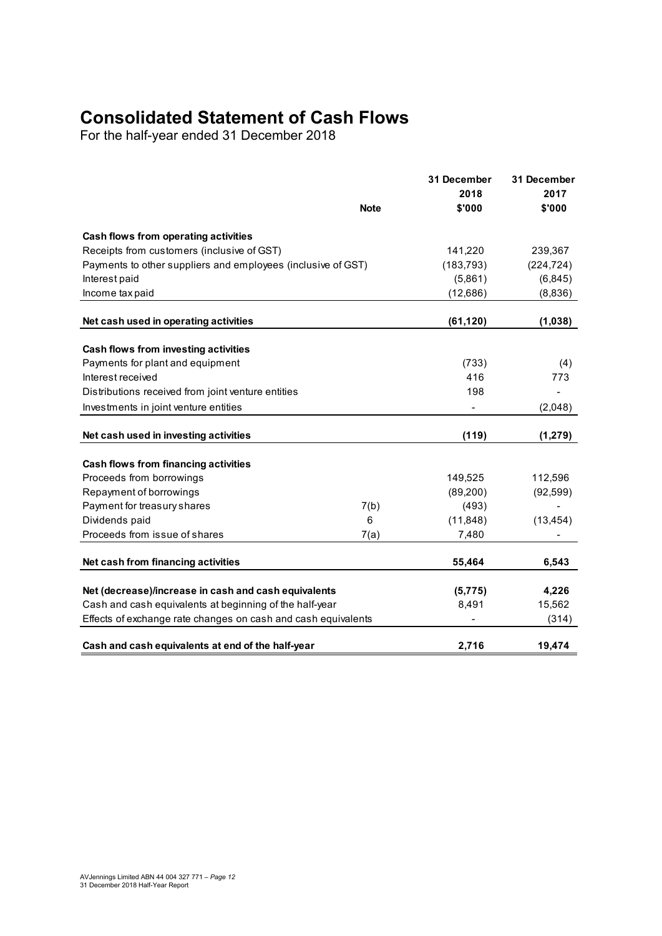## **Consolidated Statement of Cash Flows**

For the half-year ended 31 December 2018

|                                                               | <b>Note</b> | 31 December<br>2018<br>\$'000 | 31 December<br>2017<br>\$'000 |
|---------------------------------------------------------------|-------------|-------------------------------|-------------------------------|
| Cash flows from operating activities                          |             |                               |                               |
| Receipts from customers (inclusive of GST)                    |             | 141,220                       | 239,367                       |
| Payments to other suppliers and employees (inclusive of GST)  |             | (183, 793)                    | (224, 724)                    |
| Interest paid                                                 |             | (5,861)                       | (6, 845)                      |
| Income tax paid                                               |             | (12,686)                      | (8,836)                       |
| Net cash used in operating activities                         |             | (61, 120)                     | (1,038)                       |
| Cash flows from investing activities                          |             |                               |                               |
| Payments for plant and equipment                              |             | (733)                         | (4)                           |
| Interest received                                             |             | 416                           | 773                           |
| Distributions received from joint venture entities            |             | 198                           |                               |
| Investments in joint venture entities                         |             |                               | (2,048)                       |
| Net cash used in investing activities                         |             | (119)                         | (1, 279)                      |
|                                                               |             |                               |                               |
| Cash flows from financing activities                          |             |                               |                               |
| Proceeds from borrowings                                      |             | 149,525                       | 112,596                       |
| Repayment of borrowings                                       |             | (89, 200)                     | (92, 599)                     |
| Payment for treasury shares<br>Dividends paid                 | 7(b)<br>6   | (493)<br>(11, 848)            | (13, 454)                     |
| Proceeds from issue of shares                                 | 7(a)        | 7,480                         |                               |
|                                                               |             |                               |                               |
| Net cash from financing activities                            |             | 55,464                        | 6,543                         |
| Net (decrease)/increase in cash and cash equivalents          |             | (5, 775)                      | 4,226                         |
| Cash and cash equivalents at beginning of the half-year       |             | 8,491                         | 15,562                        |
| Effects of exchange rate changes on cash and cash equivalents |             |                               | (314)                         |
| Cash and cash equivalents at end of the half-year             |             | 2,716                         | 19,474                        |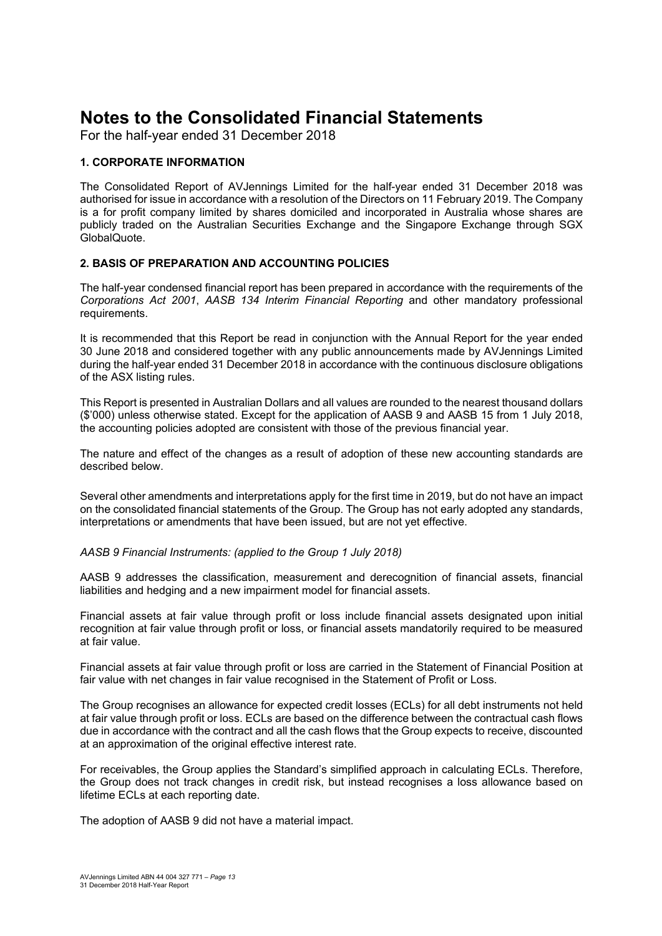For the half-year ended 31 December 2018

#### **1. CORPORATE INFORMATION**

The Consolidated Report of AVJennings Limited for the half-year ended 31 December 2018 was authorised for issue in accordance with a resolution of the Directors on 11 February 2019. The Company is a for profit company limited by shares domiciled and incorporated in Australia whose shares are publicly traded on the Australian Securities Exchange and the Singapore Exchange through SGX GlobalQuote.

#### **2. BASIS OF PREPARATION AND ACCOUNTING POLICIES**

The half-year condensed financial report has been prepared in accordance with the requirements of the *Corporations Act 2001*, *AASB 134 Interim Financial Reporting* and other mandatory professional requirements.

It is recommended that this Report be read in conjunction with the Annual Report for the year ended 30 June 2018 and considered together with any public announcements made by AVJennings Limited during the half-year ended 31 December 2018 in accordance with the continuous disclosure obligations of the ASX listing rules.

This Report is presented in Australian Dollars and all values are rounded to the nearest thousand dollars (\$'000) unless otherwise stated. Except for the application of AASB 9 and AASB 15 from 1 July 2018, the accounting policies adopted are consistent with those of the previous financial year.

The nature and effect of the changes as a result of adoption of these new accounting standards are described below.

Several other amendments and interpretations apply for the first time in 2019, but do not have an impact on the consolidated financial statements of the Group. The Group has not early adopted any standards, interpretations or amendments that have been issued, but are not yet effective.

*AASB 9 Financial Instruments: (applied to the Group 1 July 2018)* 

AASB 9 addresses the classification, measurement and derecognition of financial assets, financial liabilities and hedging and a new impairment model for financial assets.

Financial assets at fair value through profit or loss include financial assets designated upon initial recognition at fair value through profit or loss, or financial assets mandatorily required to be measured at fair value.

Financial assets at fair value through profit or loss are carried in the Statement of Financial Position at fair value with net changes in fair value recognised in the Statement of Profit or Loss.

The Group recognises an allowance for expected credit losses (ECLs) for all debt instruments not held at fair value through profit or loss. ECLs are based on the difference between the contractual cash flows due in accordance with the contract and all the cash flows that the Group expects to receive, discounted at an approximation of the original effective interest rate.

For receivables, the Group applies the Standard's simplified approach in calculating ECLs. Therefore, the Group does not track changes in credit risk, but instead recognises a loss allowance based on lifetime ECLs at each reporting date.

The adoption of AASB 9 did not have a material impact.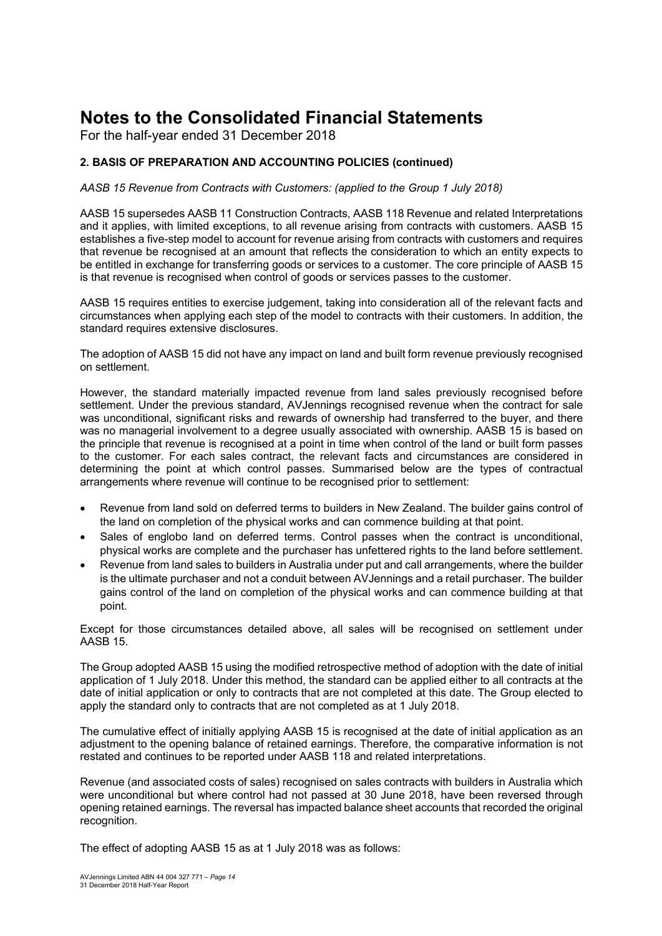For the half-year ended 31 December 2018

#### **2. BASIS OF PREPARATION AND ACCOUNTING POLICIES (continued)**

#### *AASB 15 Revenue from Contracts with Customers: (applied to the Group 1 July 2018)*

AASB 15 supersedes AASB 11 Construction Contracts, AASB 118 Revenue and related Interpretations and it applies, with limited exceptions, to all revenue arising from contracts with customers. AASB 15 establishes a five-step model to account for revenue arising from contracts with customers and requires that revenue be recognised at an amount that reflects the consideration to which an entity expects to be entitled in exchange for transferring goods or services to a customer. The core principle of AASB 15 is that revenue is recognised when control of goods or services passes to the customer.

AASB 15 requires entities to exercise judgement, taking into consideration all of the relevant facts and circumstances when applying each step of the model to contracts with their customers. In addition, the standard requires extensive disclosures.

The adoption of AASB 15 did not have any impact on land and built form revenue previously recognised on settlement.

However, the standard materially impacted revenue from land sales previously recognised before settlement. Under the previous standard, AVJennings recognised revenue when the contract for sale was unconditional, significant risks and rewards of ownership had transferred to the buyer, and there was no managerial involvement to a degree usually associated with ownership. AASB 15 is based on the principle that revenue is recognised at a point in time when control of the land or built form passes to the customer. For each sales contract, the relevant facts and circumstances are considered in determining the point at which control passes. Summarised below are the types of contractual arrangements where revenue will continue to be recognised prior to settlement:

- Revenue from land sold on deferred terms to builders in New Zealand. The builder gains control of the land on completion of the physical works and can commence building at that point.
- Sales of englobo land on deferred terms. Control passes when the contract is unconditional, physical works are complete and the purchaser has unfettered rights to the land before settlement.
- Revenue from land sales to builders in Australia under put and call arrangements, where the builder is the ultimate purchaser and not a conduit between AVJennings and a retail purchaser. The builder gains control of the land on completion of the physical works and can commence building at that point.

Except for those circumstances detailed above, all sales will be recognised on settlement under AASB 15.

The Group adopted AASB 15 using the modified retrospective method of adoption with the date of initial application of 1 July 2018. Under this method, the standard can be applied either to all contracts at the date of initial application or only to contracts that are not completed at this date. The Group elected to apply the standard only to contracts that are not completed as at 1 July 2018.

The cumulative effect of initially applying AASB 15 is recognised at the date of initial application as an adjustment to the opening balance of retained earnings. Therefore, the comparative information is not restated and continues to be reported under AASB 118 and related interpretations.

Revenue (and associated costs of sales) recognised on sales contracts with builders in Australia which were unconditional but where control had not passed at 30 June 2018, have been reversed through opening retained earnings. The reversal has impacted balance sheet accounts that recorded the original recognition.

The effect of adopting AASB 15 as at 1 July 2018 was as follows: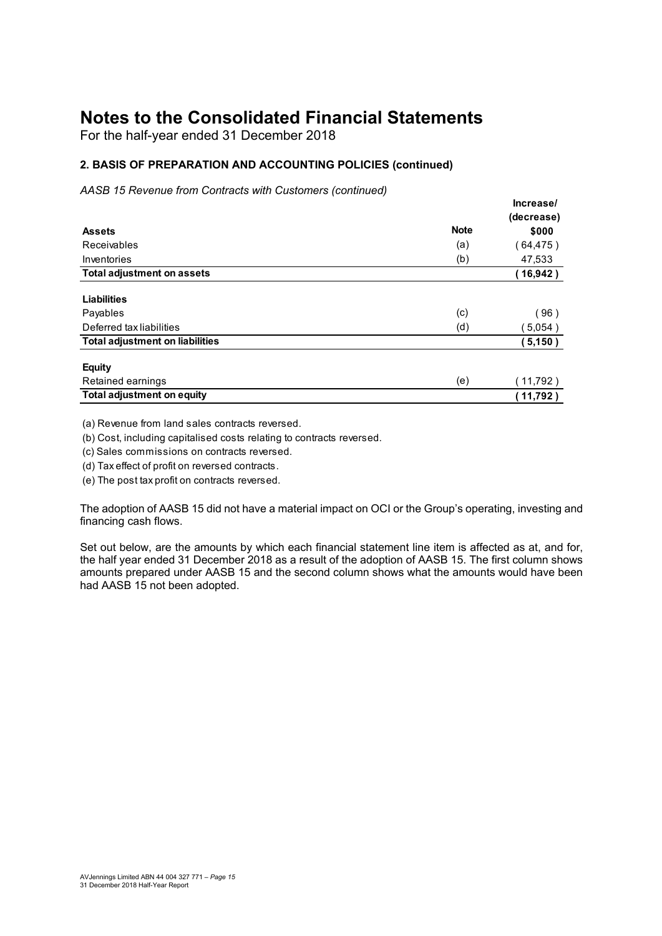For the half-year ended 31 December 2018

#### **2. BASIS OF PREPARATION AND ACCOUNTING POLICIES (continued)**

*AASB 15 Revenue from Contracts with Customers (continued)*

|                                        |             | Increase/  |
|----------------------------------------|-------------|------------|
|                                        |             | (decrease) |
| <b>Assets</b>                          | <b>Note</b> | \$000      |
| Receivables                            | (a)         | (64, 475)  |
| Inventories                            | (b)         | 47,533     |
| <b>Total adjustment on assets</b>      |             | (16, 942)  |
| <b>Liabilities</b>                     |             |            |
| Payables                               | (c)         | (96)       |
| Deferred tax liabilities               | (d)         | 5,054)     |
| <b>Total adjustment on liabilities</b> |             | (5, 150)   |
| <b>Equity</b>                          |             |            |
| Retained earnings                      | (e)         | (11,792)   |
| <b>Total adjustment on equity</b>      |             | (11,792)   |

(a) Revenue from land sales contracts reversed.

(b) Cost, including capitalised costs relating to contracts reversed.

(c) Sales commissions on contracts reversed.

(d) Tax effect of profit on reversed contracts.

(e) The post tax profit on contracts reversed.

The adoption of AASB 15 did not have a material impact on OCI or the Group's operating, investing and financing cash flows.

Set out below, are the amounts by which each financial statement line item is affected as at, and for, the half year ended 31 December 2018 as a result of the adoption of AASB 15. The first column shows amounts prepared under AASB 15 and the second column shows what the amounts would have been had AASB 15 not been adopted.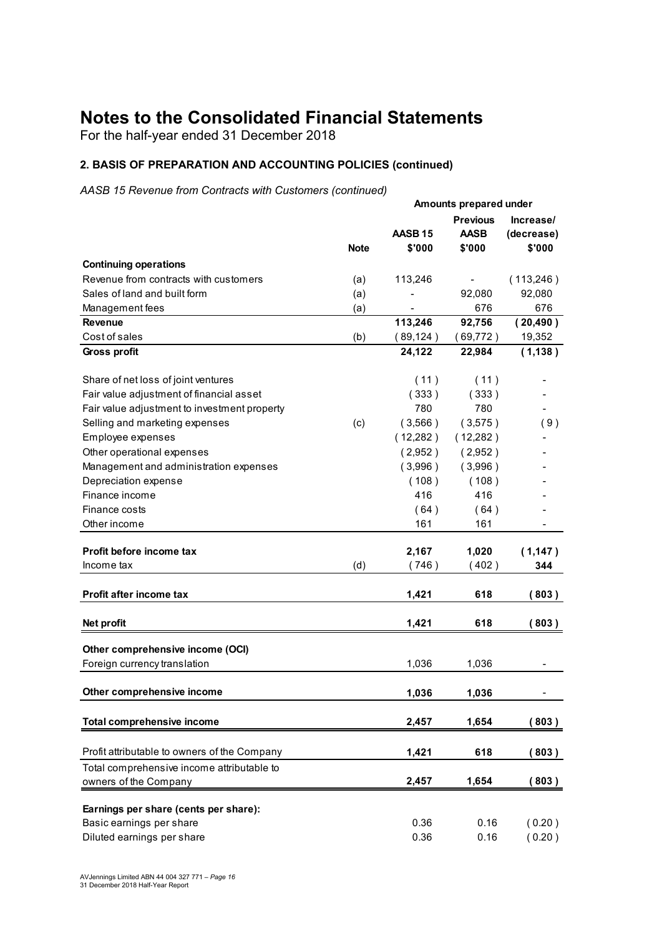For the half-year ended 31 December 2018

#### **2. BASIS OF PREPARATION AND ACCOUNTING POLICIES (continued)**

*AASB 15 Revenue from Contracts with Customers (continued)*

|                                              |             | Amounts prepared under       |                                          |                                   |  |
|----------------------------------------------|-------------|------------------------------|------------------------------------------|-----------------------------------|--|
|                                              | <b>Note</b> | AASB <sub>15</sub><br>\$'000 | <b>Previous</b><br><b>AASB</b><br>\$'000 | Increase/<br>(decrease)<br>\$'000 |  |
| <b>Continuing operations</b>                 |             |                              |                                          |                                   |  |
| Revenue from contracts with customers        | (a)         | 113,246                      |                                          | (113,246)                         |  |
| Sales of land and built form                 | (a)         |                              | 92,080                                   | 92,080                            |  |
| Management fees                              | (a)         |                              | 676                                      | 676                               |  |
| <b>Revenue</b>                               |             | 113,246                      | 92,756                                   | (20, 490)                         |  |
| Cost of sales                                | (b)         | (89, 124)                    | (69, 772)                                | 19,352                            |  |
| Gross profit                                 |             | 24,122                       | 22,984                                   | (1, 138)                          |  |
| Share of net loss of joint ventures          |             | (11)                         | (11)                                     |                                   |  |
| Fair value adjustment of financial asset     |             | (333)                        | (333)                                    |                                   |  |
| Fair value adjustment to investment property |             | 780                          | 780                                      |                                   |  |
| Selling and marketing expenses               | (c)         | (3,566)                      | (3,575)                                  | (9)                               |  |
| Employee expenses                            |             | (12,282)                     | (12,282)                                 |                                   |  |
| Other operational expenses                   |             | (2,952)                      | (2,952)                                  |                                   |  |
| Management and administration expenses       |             | (3,996)                      | (3,996)                                  |                                   |  |
| Depreciation expense                         |             | (108)                        | (108)                                    |                                   |  |
| Finance income                               |             | 416                          | 416                                      |                                   |  |
| Finance costs                                |             | (64)                         | (64)                                     |                                   |  |
| Other income                                 |             | 161                          | 161                                      |                                   |  |
| Profit before income tax                     |             | 2,167                        | 1,020                                    | (1,147)                           |  |
| Income tax                                   | (d)         | (746)                        | (402)                                    | 344                               |  |
| Profit after income tax                      |             | 1,421                        | 618                                      | (803)                             |  |
| Net profit                                   |             | 1,421                        | 618                                      | (803)                             |  |
| Other comprehensive income (OCI)             |             |                              |                                          |                                   |  |
| Foreign currency translation                 |             | 1,036                        | 1,036                                    |                                   |  |
| Other comprehensive income                   |             | 1,036                        | 1,036                                    |                                   |  |
| <b>Total comprehensive income</b>            |             | 2,457                        | 1,654                                    | (803)                             |  |
| Profit attributable to owners of the Company |             | 1,421                        | 618                                      | (803)                             |  |
| Total comprehensive income attributable to   |             |                              |                                          |                                   |  |
| owners of the Company                        |             | 2,457                        | 1,654                                    | (803)                             |  |
| Earnings per share (cents per share):        |             |                              |                                          |                                   |  |
| Basic earnings per share                     |             | 0.36                         | 0.16                                     | (0.20)                            |  |
| Diluted earnings per share                   |             | 0.36                         | 0.16                                     | (0.20)                            |  |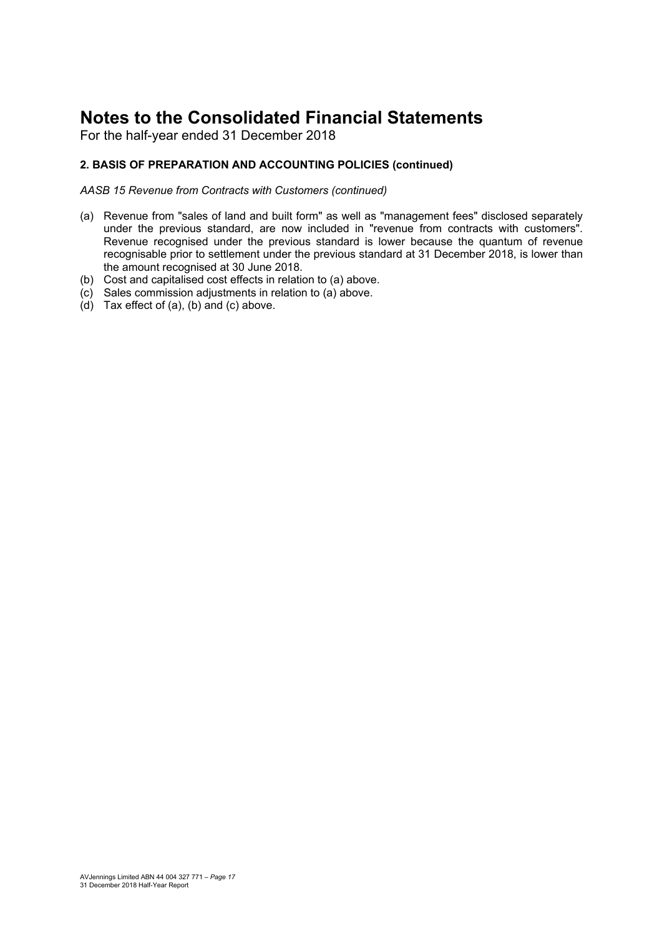For the half-year ended 31 December 2018

#### **2. BASIS OF PREPARATION AND ACCOUNTING POLICIES (continued)**

*AASB 15 Revenue from Contracts with Customers (continued)* 

- (a) Revenue from "sales of land and built form" as well as "management fees" disclosed separately under the previous standard, are now included in "revenue from contracts with customers". Revenue recognised under the previous standard is lower because the quantum of revenue recognisable prior to settlement under the previous standard at 31 December 2018, is lower than the amount recognised at 30 June 2018.
- (b) Cost and capitalised cost effects in relation to (a) above.
- (c) Sales commission adjustments in relation to (a) above.
- (d) Tax effect of (a), (b) and (c) above.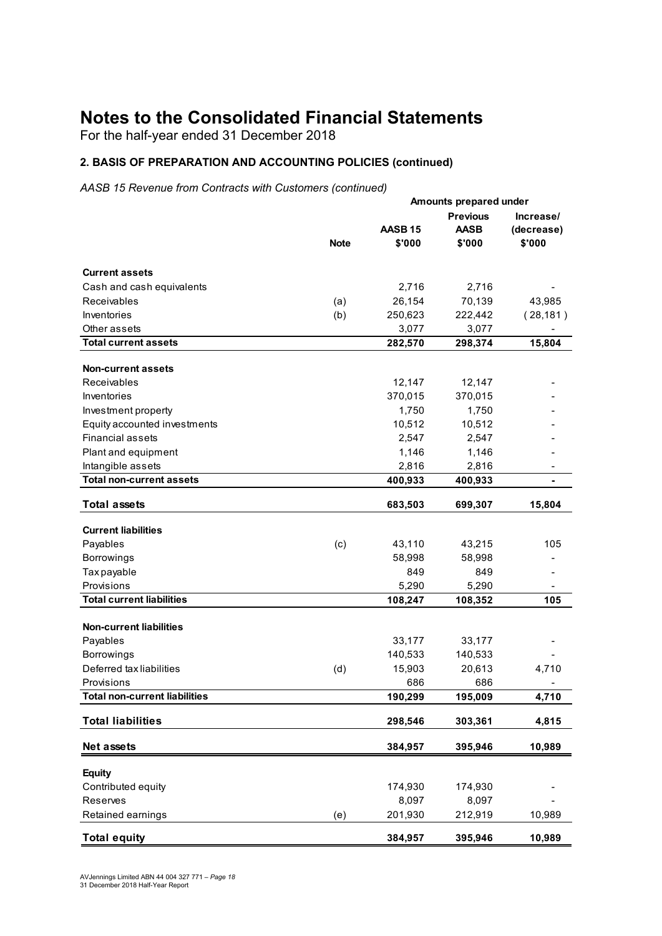For the half-year ended 31 December 2018

#### **2. BASIS OF PREPARATION AND ACCOUNTING POLICIES (continued)**

*AASB 15 Revenue from Contracts with Customers (continued)*

|                                      |             | Amounts prepared under            |                 |            |  |  |
|--------------------------------------|-------------|-----------------------------------|-----------------|------------|--|--|
|                                      |             |                                   | <b>Previous</b> | Increase/  |  |  |
|                                      |             | AASB <sub>15</sub><br><b>AASB</b> |                 | (decrease) |  |  |
|                                      | <b>Note</b> | \$'000                            | \$'000          | \$'000     |  |  |
| <b>Current assets</b>                |             |                                   |                 |            |  |  |
|                                      |             |                                   |                 |            |  |  |
| Cash and cash equivalents            |             | 2,716                             | 2,716           |            |  |  |
| Receivables                          | (a)         | 26,154                            | 70,139          | 43,985     |  |  |
| Inventories                          | (b)         | 250,623                           | 222,442         | (28, 181)  |  |  |
| Other assets                         |             | 3,077                             | 3,077           |            |  |  |
| <b>Total current assets</b>          |             | 282,570                           | 298,374         | 15,804     |  |  |
| Non-current assets                   |             |                                   |                 |            |  |  |
| Receivables                          |             | 12,147                            | 12,147          |            |  |  |
| Inventories                          |             | 370,015                           | 370,015         |            |  |  |
| Investment property                  |             | 1,750                             | 1,750           |            |  |  |
| Equity accounted investments         |             | 10,512                            | 10,512          |            |  |  |
| <b>Financial assets</b>              |             | 2,547                             | 2,547           |            |  |  |
| Plant and equipment                  |             | 1,146                             | 1,146           |            |  |  |
| Intangible assets                    |             | 2,816                             | 2,816           |            |  |  |
| <b>Total non-current assets</b>      |             | 400,933                           | 400,933         |            |  |  |
| <b>Total assets</b>                  |             | 683,503                           | 699,307         | 15,804     |  |  |
|                                      |             |                                   |                 |            |  |  |
| <b>Current liabilities</b>           |             |                                   |                 |            |  |  |
| Payables                             | (c)         | 43,110                            | 43,215          | 105        |  |  |
| Borrowings                           |             | 58,998                            | 58,998          |            |  |  |
| Tax payable                          |             | 849                               | 849             |            |  |  |
| Provisions                           |             | 5,290                             | 5,290           |            |  |  |
| <b>Total current liabilities</b>     |             | 108,247                           | 108,352         | 105        |  |  |
| <b>Non-current liabilities</b>       |             |                                   |                 |            |  |  |
| Payables                             |             | 33,177                            | 33,177          |            |  |  |
| <b>Borrowings</b>                    |             | 140,533                           | 140,533         |            |  |  |
| Deferred tax liabilities             | (d)         | 15,903                            | 20,613          | 4,710      |  |  |
| Provisions                           |             | 686                               | 686             |            |  |  |
| <b>Total non-current liabilities</b> |             | 190,299                           | 195,009         | 4,710      |  |  |
|                                      |             |                                   |                 |            |  |  |
| <b>Total liabilities</b>             |             | 298,546                           | 303,361         | 4,815      |  |  |
| Net assets                           |             | 384,957                           | 395,946         | 10,989     |  |  |
| <b>Equity</b>                        |             |                                   |                 |            |  |  |
| Contributed equity                   |             | 174,930                           | 174,930         |            |  |  |
| Reserves                             |             | 8,097                             | 8,097           |            |  |  |
| Retained earnings                    | (e)         | 201,930                           | 212,919         | 10,989     |  |  |
|                                      |             |                                   |                 |            |  |  |
| <b>Total equity</b>                  |             | 384,957                           | 395,946         | 10,989     |  |  |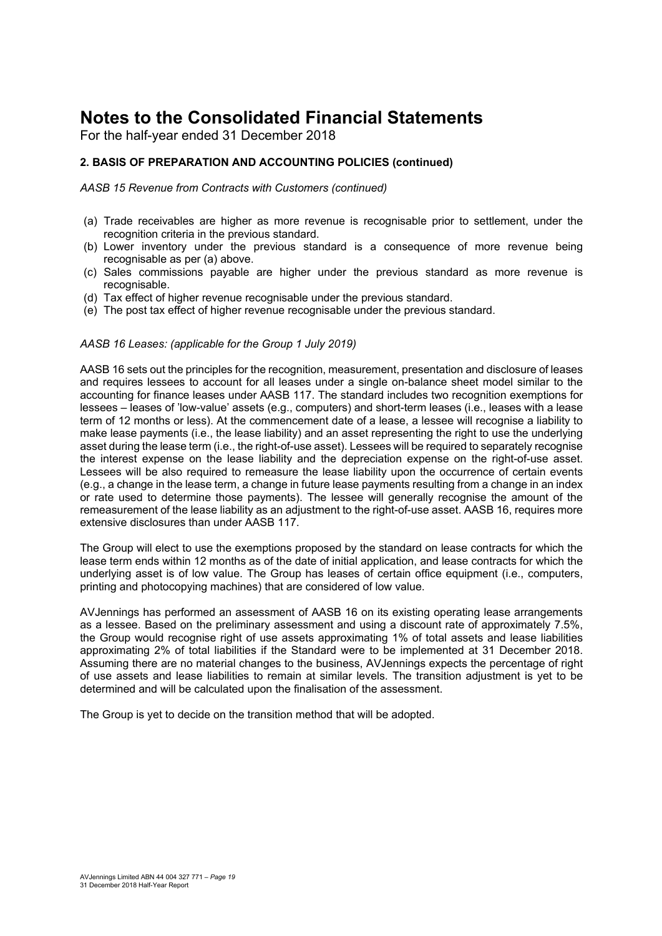For the half-year ended 31 December 2018

#### **2. BASIS OF PREPARATION AND ACCOUNTING POLICIES (continued)**

*AASB 15 Revenue from Contracts with Customers (continued)* 

- (a) Trade receivables are higher as more revenue is recognisable prior to settlement, under the recognition criteria in the previous standard.
- (b) Lower inventory under the previous standard is a consequence of more revenue being recognisable as per (a) above.
- (c) Sales commissions payable are higher under the previous standard as more revenue is recognisable.
- (d) Tax effect of higher revenue recognisable under the previous standard.
- (e) The post tax effect of higher revenue recognisable under the previous standard.

#### *AASB 16 Leases: (applicable for the Group 1 July 2019)*

AASB 16 sets out the principles for the recognition, measurement, presentation and disclosure of leases and requires lessees to account for all leases under a single on-balance sheet model similar to the accounting for finance leases under AASB 117. The standard includes two recognition exemptions for lessees – leases of 'low-value' assets (e.g., computers) and short-term leases (i.e., leases with a lease term of 12 months or less). At the commencement date of a lease, a lessee will recognise a liability to make lease payments (i.e., the lease liability) and an asset representing the right to use the underlying asset during the lease term (i.e., the right-of-use asset). Lessees will be required to separately recognise the interest expense on the lease liability and the depreciation expense on the right-of-use asset. Lessees will be also required to remeasure the lease liability upon the occurrence of certain events (e.g., a change in the lease term, a change in future lease payments resulting from a change in an index or rate used to determine those payments). The lessee will generally recognise the amount of the remeasurement of the lease liability as an adjustment to the right-of-use asset. AASB 16, requires more extensive disclosures than under AASB 117.

The Group will elect to use the exemptions proposed by the standard on lease contracts for which the lease term ends within 12 months as of the date of initial application, and lease contracts for which the underlying asset is of low value. The Group has leases of certain office equipment (i.e., computers, printing and photocopying machines) that are considered of low value.

AVJennings has performed an assessment of AASB 16 on its existing operating lease arrangements as a lessee. Based on the preliminary assessment and using a discount rate of approximately 7.5%, the Group would recognise right of use assets approximating 1% of total assets and lease liabilities approximating 2% of total liabilities if the Standard were to be implemented at 31 December 2018. Assuming there are no material changes to the business, AVJennings expects the percentage of right of use assets and lease liabilities to remain at similar levels. The transition adjustment is yet to be determined and will be calculated upon the finalisation of the assessment.

The Group is yet to decide on the transition method that will be adopted.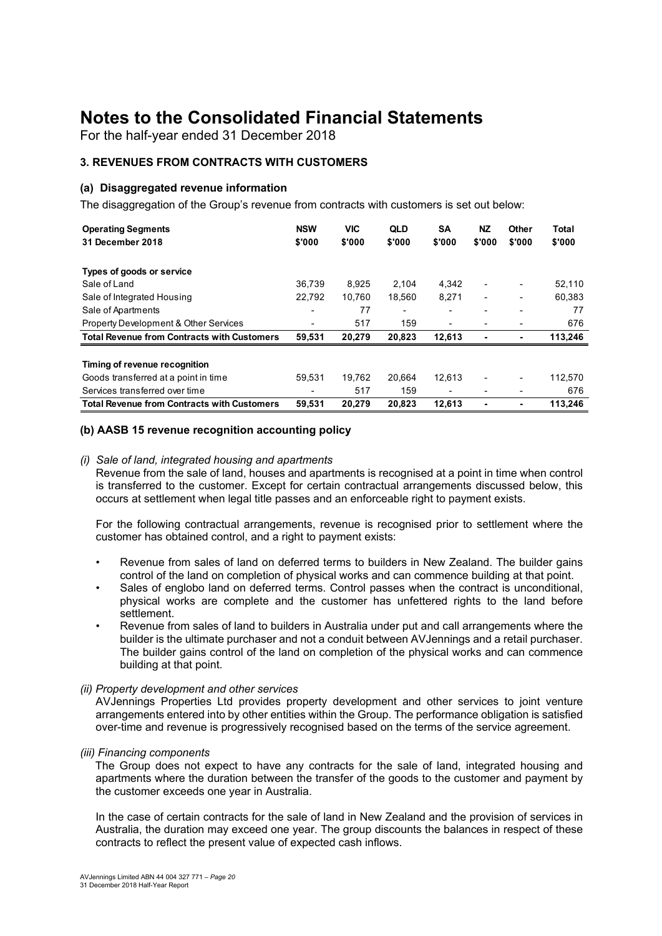For the half-year ended 31 December 2018

#### **3. REVENUES FROM CONTRACTS WITH CUSTOMERS**

#### **(a) Disaggregated revenue information**

The disaggregation of the Group's revenue from contracts with customers is set out below:

| <b>Operating Segments</b>                          | <b>NSW</b> | <b>VIC</b> | <b>QLD</b> | SA     | <b>NZ</b>                | Other  | Total   |
|----------------------------------------------------|------------|------------|------------|--------|--------------------------|--------|---------|
| 31 December 2018                                   | \$'000     | \$'000     | \$'000     | \$'000 | \$'000                   | \$'000 | \$'000  |
|                                                    |            |            |            |        |                          |        |         |
| Types of goods or service                          |            |            |            |        |                          |        |         |
| Sale of Land                                       | 36,739     | 8,925      | 2,104      | 4,342  | ٠                        |        | 52,110  |
| Sale of Integrated Housing                         | 22.792     | 10,760     | 18.560     | 8,271  | $\overline{\phantom{0}}$ | ٠      | 60.383  |
| Sale of Apartments                                 | ٠          | 77         | ٠          | ٠      |                          |        | 77      |
| Property Development & Other Services              | ٠          | 517        | 159        | ٠      |                          |        | 676     |
| <b>Total Revenue from Contracts with Customers</b> | 59,531     | 20,279     | 20,823     | 12,613 |                          | ۰      | 113,246 |
|                                                    |            |            |            |        |                          |        |         |
| Timing of revenue recognition                      |            |            |            |        |                          |        |         |
| Goods transferred at a point in time               | 59,531     | 19.762     | 20.664     | 12.613 |                          | ٠      | 112,570 |
| Services transferred over time                     | ٠          | 517        | 159        | ٠      |                          |        | 676     |
| <b>Total Revenue from Contracts with Customers</b> | 59,531     | 20,279     | 20,823     | 12,613 |                          |        | 113.246 |

#### **(b) AASB 15 revenue recognition accounting policy**

#### *(i) Sale of land, integrated housing and apartments*

Revenue from the sale of land, houses and apartments is recognised at a point in time when control is transferred to the customer. Except for certain contractual arrangements discussed below, this occurs at settlement when legal title passes and an enforceable right to payment exists.

For the following contractual arrangements, revenue is recognised prior to settlement where the customer has obtained control, and a right to payment exists:

- Revenue from sales of land on deferred terms to builders in New Zealand. The builder gains control of the land on completion of physical works and can commence building at that point.
- Sales of englobo land on deferred terms. Control passes when the contract is unconditional, physical works are complete and the customer has unfettered rights to the land before settlement.
- Revenue from sales of land to builders in Australia under put and call arrangements where the builder is the ultimate purchaser and not a conduit between AVJennings and a retail purchaser. The builder gains control of the land on completion of the physical works and can commence building at that point.

#### *(ii) Property development and other services*

AVJennings Properties Ltd provides property development and other services to joint venture arrangements entered into by other entities within the Group. The performance obligation is satisfied over-time and revenue is progressively recognised based on the terms of the service agreement.

#### *(iii) Financing components*

The Group does not expect to have any contracts for the sale of land, integrated housing and apartments where the duration between the transfer of the goods to the customer and payment by the customer exceeds one year in Australia.

In the case of certain contracts for the sale of land in New Zealand and the provision of services in Australia, the duration may exceed one year. The group discounts the balances in respect of these contracts to reflect the present value of expected cash inflows.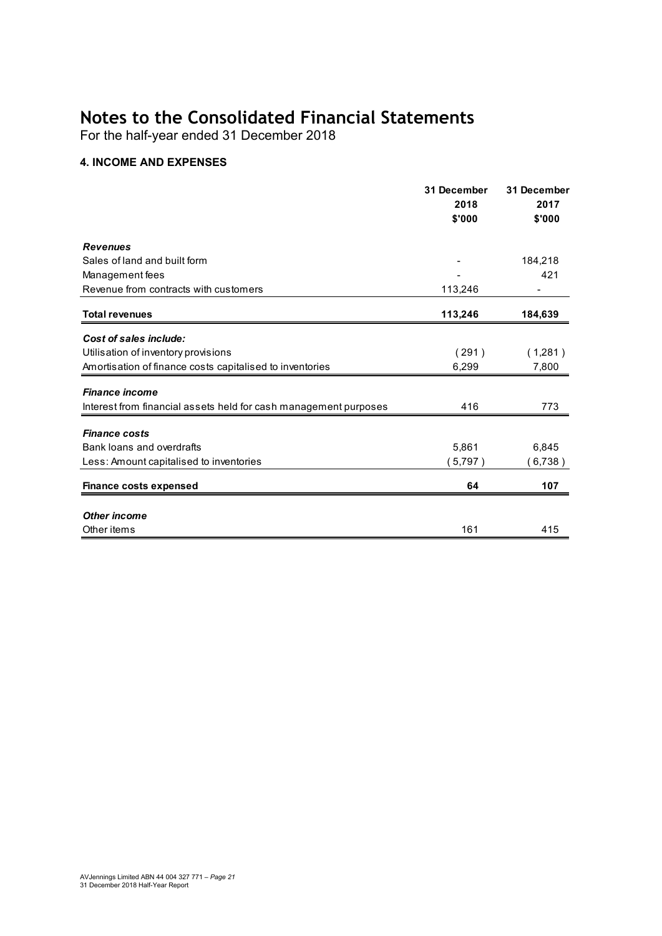For the half-year ended 31 December 2018

#### **4. INCOME AND EXPENSES**

|                                                                  | 31 December<br>2018 | 31 December<br>2017 |  |
|------------------------------------------------------------------|---------------------|---------------------|--|
|                                                                  | \$'000              | \$'000              |  |
| <b>Revenues</b>                                                  |                     |                     |  |
| Sales of land and built form                                     |                     | 184,218             |  |
| Management fees                                                  |                     | 421                 |  |
| Revenue from contracts with customers                            | 113,246             |                     |  |
| <b>Total revenues</b>                                            | 113,246             | 184,639             |  |
| Cost of sales include:                                           |                     |                     |  |
| Utilisation of inventory provisions                              | (291)               | (1,281)             |  |
| Amortisation of finance costs capitalised to inventories         | 6,299               | 7,800               |  |
| <b>Finance income</b>                                            |                     |                     |  |
| Interest from financial assets held for cash management purposes | 416                 | 773                 |  |
| <b>Finance costs</b>                                             |                     |                     |  |
| Bank loans and overdrafts                                        | 5,861               | 6,845               |  |
| Less: Amount capitalised to inventories                          | 5,797)              | (6,738)             |  |
| <b>Finance costs expensed</b>                                    | 64                  | 107                 |  |
| <b>Other income</b>                                              |                     |                     |  |
| Other items                                                      | 161                 |                     |  |
|                                                                  |                     | 415                 |  |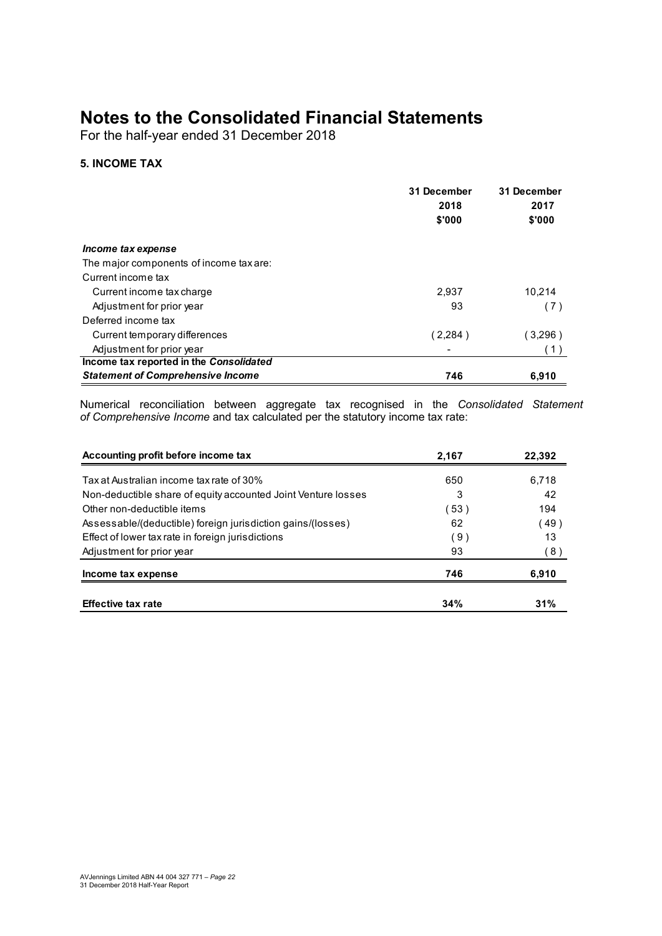For the half-year ended 31 December 2018

#### **5. INCOME TAX**

|                                          | 31 December<br>2018<br>\$'000 | 31 December<br>2017<br>\$'000 |
|------------------------------------------|-------------------------------|-------------------------------|
| Income tax expense                       |                               |                               |
| The major components of income tax are:  |                               |                               |
| Current income tax                       |                               |                               |
| Current income tax charge                | 2,937                         | 10.214                        |
| Adjustment for prior year                | 93                            | (7)                           |
| Deferred income tax                      |                               |                               |
| Current temporary differences            | (2,284)                       | (3,296)                       |
| Adjustment for prior year                |                               | (1)                           |
| Income tax reported in the Consolidated  |                               |                               |
| <b>Statement of Comprehensive Income</b> | 746                           | 6.910                         |

Numerical reconciliation between aggregate tax recognised in the *Consolidated Statement of Comprehensive Income* and tax calculated per the statutory income tax rate:

| Accounting profit before income tax                           | 2,167 | 22.392 |
|---------------------------------------------------------------|-------|--------|
| Tax at Australian income tax rate of 30%                      | 650   | 6,718  |
| Non-deductible share of equity accounted Joint Venture losses | 3     | 42     |
| Other non-deductible items                                    | (53)  | 194    |
| Assessable/(deductible) foreign jurisdiction gains/(losses)   | 62    | (49)   |
| Effect of lower tax rate in foreign jurisdictions             | (9)   | 13     |
| Adjustment for prior year                                     | 93    | (8)    |
| Income tax expense                                            | 746   | 6,910  |
| <b>Effective tax rate</b>                                     | 34%   | 31%    |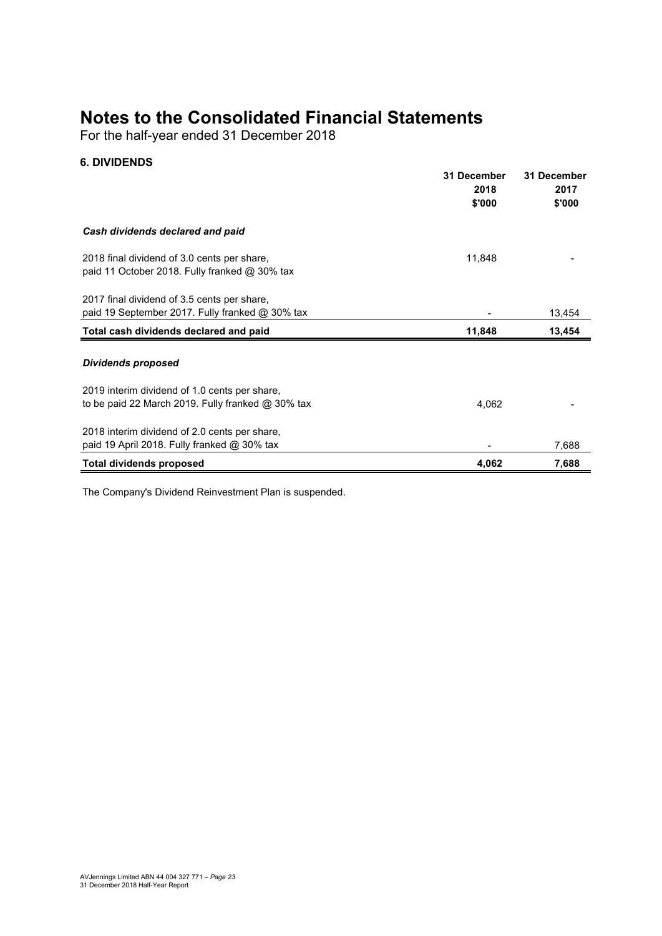For the half-year ended 31 December 2018

#### **6. DIVIDENDS**

|                                                                                                | 31 December<br>2018 | 31 December<br>2017 |
|------------------------------------------------------------------------------------------------|---------------------|---------------------|
|                                                                                                | \$'000              | \$'000              |
| Cash dividends declared and paid                                                               |                     |                     |
| 2018 final dividend of 3.0 cents per share,<br>paid 11 October 2018. Fully franked $@$ 30% tax | 11,848              |                     |
| 2017 final dividend of 3.5 cents per share,                                                    |                     |                     |
| paid 19 September 2017. Fully franked @ 30% tax                                                |                     | 13,454              |
| Total cash dividends declared and paid                                                         | 11,848              | 13,454              |
| <b>Dividends proposed</b>                                                                      |                     |                     |
| 2019 interim dividend of 1.0 cents per share,                                                  |                     |                     |
| to be paid 22 March 2019. Fully franked $@30\%$ tax                                            | 4,062               |                     |
| 2018 interim dividend of 2.0 cents per share,                                                  |                     |                     |
| paid 19 April 2018. Fully franked $@$ 30% tax                                                  |                     | 7,688               |
| <b>Total dividends proposed</b>                                                                | 4,062               | 7,688               |

The Company's Dividend Reinvestment Plan is suspended.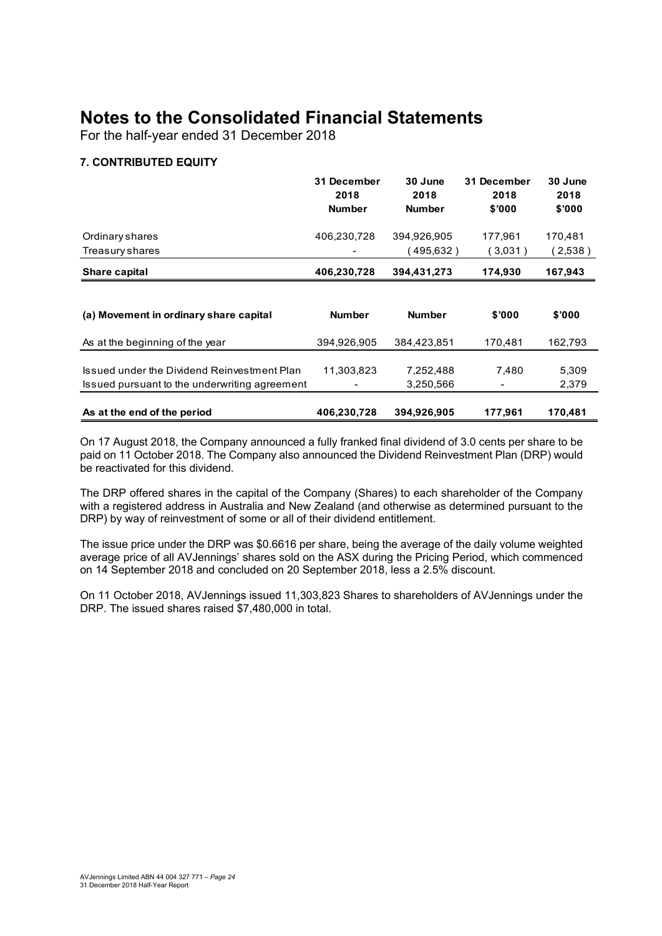For the half-year ended 31 December 2018

#### **7. CONTRIBUTED EQUITY**

|                                                                                              | 31 December<br>2018<br><b>Number</b> | 30 June<br>2018<br><b>Number</b> | 31 December<br>2018<br>\$'000 | 30 June<br>2018<br>\$'000 |
|----------------------------------------------------------------------------------------------|--------------------------------------|----------------------------------|-------------------------------|---------------------------|
| Ordinary shares                                                                              | 406,230,728                          | 394,926,905                      | 177.961                       | 170,481                   |
| Treasury shares                                                                              |                                      | (495,632)                        | (3,031)                       | (2,538)                   |
| Share capital                                                                                | 406,230,728                          | 394,431,273                      | 174,930                       | 167,943                   |
| (a) Movement in ordinary share capital                                                       | <b>Number</b>                        | <b>Number</b>                    | \$'000                        | \$'000                    |
| As at the beginning of the year                                                              | 394,926,905                          | 384,423,851                      | 170,481                       | 162,793                   |
| Issued under the Dividend Reinvestment Plan<br>Issued pursuant to the underwriting agreement | 11,303,823                           | 7,252,488<br>3,250,566           | 7,480                         | 5,309<br>2,379            |
| As at the end of the period                                                                  | 406,230,728                          | 394,926,905                      | 177,961                       | 170,481                   |

On 17 August 2018, the Company announced a fully franked final dividend of 3.0 cents per share to be paid on 11 October 2018. The Company also announced the Dividend Reinvestment Plan (DRP) would be reactivated for this dividend.

The DRP offered shares in the capital of the Company (Shares) to each shareholder of the Company with a registered address in Australia and New Zealand (and otherwise as determined pursuant to the DRP) by way of reinvestment of some or all of their dividend entitlement.

The issue price under the DRP was \$0.6616 per share, being the average of the daily volume weighted average price of all AVJennings' shares sold on the ASX during the Pricing Period, which commenced on 14 September 2018 and concluded on 20 September 2018, less a 2.5% discount.

On 11 October 2018, AVJennings issued 11,303,823 Shares to shareholders of AVJennings under the DRP. The issued shares raised \$7,480,000 in total.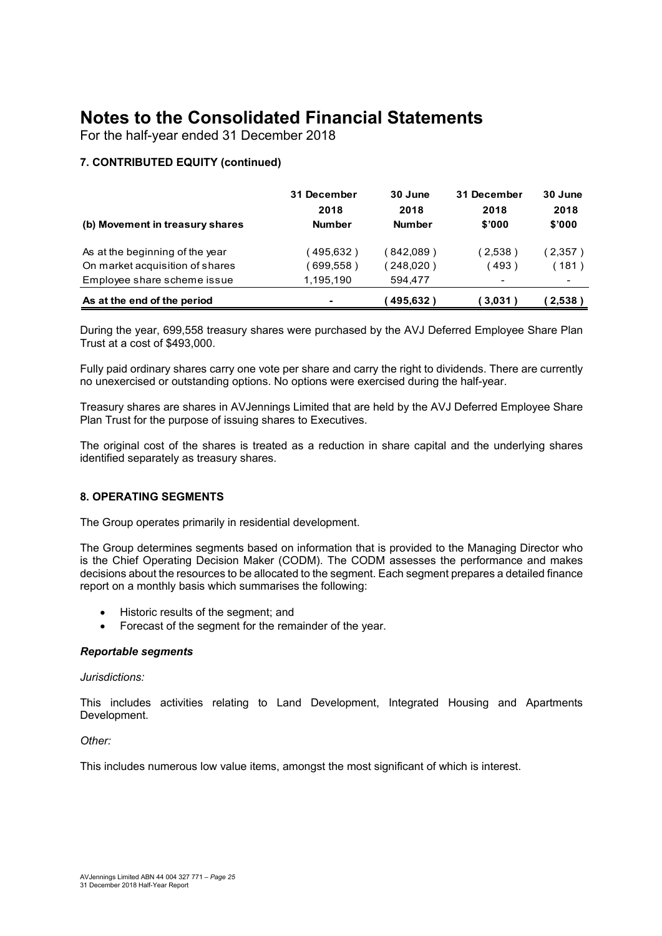For the half-year ended 31 December 2018

#### **7. CONTRIBUTED EQUITY (continued)**

| (b) Movement in treasury shares | 31 December<br>2018<br><b>Number</b> | 30 June<br>2018<br><b>Number</b> | 31 December<br>2018<br>\$'000 | 30 June<br>2018<br>\$'000 |
|---------------------------------|--------------------------------------|----------------------------------|-------------------------------|---------------------------|
| As at the beginning of the year | 495,632)                             | (842.089)                        | (2,538)                       | (2,357)                   |
| On market acquisition of shares | $699,558$ )                          | (248,020)                        | 493)                          | 〔181〕                     |
| Employee share scheme issue     | 1,195,190                            | 594.477                          | $\,$                          |                           |
| As at the end of the period     | $\blacksquare$                       | 495.632)                         | (3,031)                       | (2,538)                   |

During the year, 699,558 treasury shares were purchased by the AVJ Deferred Employee Share Plan Trust at a cost of \$493,000.

Fully paid ordinary shares carry one vote per share and carry the right to dividends. There are currently no unexercised or outstanding options. No options were exercised during the half-year.

Treasury shares are shares in AVJennings Limited that are held by the AVJ Deferred Employee Share Plan Trust for the purpose of issuing shares to Executives.

The original cost of the shares is treated as a reduction in share capital and the underlying shares identified separately as treasury shares.

#### **8. OPERATING SEGMENTS**

The Group operates primarily in residential development.

The Group determines segments based on information that is provided to the Managing Director who is the Chief Operating Decision Maker (CODM). The CODM assesses the performance and makes decisions about the resources to be allocated to the segment. Each segment prepares a detailed finance report on a monthly basis which summarises the following:

- Historic results of the segment; and
- Forecast of the segment for the remainder of the year.

#### *Reportable segments*

#### *Jurisdictions:*

This includes activities relating to Land Development, Integrated Housing and Apartments Development.

*Other:* 

This includes numerous low value items, amongst the most significant of which is interest.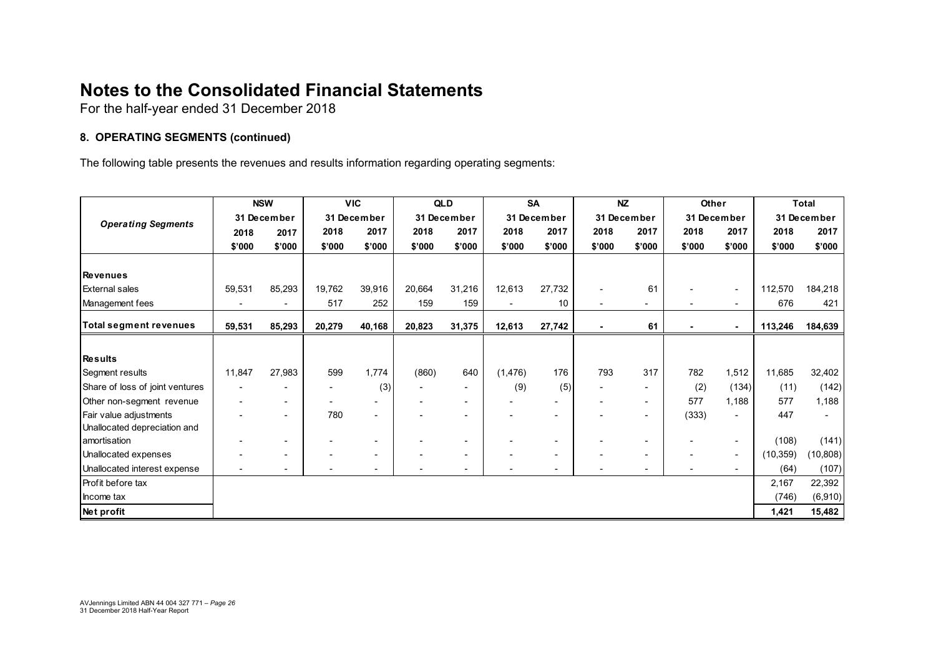For the half-year ended 31 December 2018

#### **8. OPERATING SEGMENTS (continued)**

The following table presents the revenues and results information regarding operating segments:

|                                 |             | <b>NSW</b>               |        | <b>VIC</b>  |                          | QLD         |                | <b>SA</b>                |             | <b>NZ</b>                | Other       |                          |             | Total     |
|---------------------------------|-------------|--------------------------|--------|-------------|--------------------------|-------------|----------------|--------------------------|-------------|--------------------------|-------------|--------------------------|-------------|-----------|
| <b>Operating Segments</b>       | 31 December |                          |        | 31 December |                          | 31 December |                | 31 December              | 31 December |                          | 31 December |                          | 31 December |           |
|                                 | 2018        | 2017                     | 2018   | 2017        | 2018                     | 2017        | 2018           | 2017                     | 2018        | 2017                     | 2018        | 2017                     | 2018        | 2017      |
|                                 | \$'000      | \$'000                   | \$'000 | \$'000      | \$'000                   | \$'000      | \$'000         | \$'000                   | \$'000      | \$'000                   | \$'000      | \$'000                   | \$'000      | \$'000    |
|                                 |             |                          |        |             |                          |             |                |                          |             |                          |             |                          |             |           |
| <b>Revenues</b>                 |             |                          |        |             |                          |             |                |                          |             |                          |             |                          |             |           |
| <b>External sales</b>           | 59,531      | 85,293                   | 19,762 | 39,916      | 20,664                   | 31,216      | 12,613         | 27,732                   |             | 61                       |             | $\overline{\phantom{a}}$ | 112,570     | 184,218   |
| Management fees                 |             | $\blacksquare$           | 517    | 252         | 159                      | 159         | $\blacksquare$ | 10                       | ٠           | $\overline{\phantom{0}}$ |             | $\sim$                   | 676         | 421       |
| <b>Total segment revenues</b>   | 59,531      | 85,293                   | 20,279 | 40,168      | 20,823                   | 31,375      | 12,613         | 27,742                   |             | 61                       |             | $\sim$                   | 113,246     | 184,639   |
|                                 |             |                          |        |             |                          |             |                |                          |             |                          |             |                          |             |           |
| Results                         |             |                          |        |             |                          |             |                |                          |             |                          |             |                          |             |           |
| Segment results                 | 11,847      | 27,983                   | 599    | 1,774       | (860)                    | 640         | (1, 476)       | 176                      | 793         | 317                      | 782         | 1,512                    | 11,685      | 32,402    |
| Share of loss of joint ventures |             |                          |        | (3)         | $\overline{\phantom{a}}$ |             | (9)            | (5)                      |             | $\overline{\phantom{0}}$ | (2)         | (134)                    | (11)        | (142)     |
| Other non-segment revenue       |             | $\sim$                   |        |             |                          |             |                |                          |             | $\sim$                   | 577         | 1,188                    | 577         | 1,188     |
| Fair value adjustments          |             | $\overline{\phantom{0}}$ | 780    |             |                          |             |                |                          |             |                          | (333)       | $\overline{\phantom{a}}$ | 447         |           |
| Unallocated depreciation and    |             |                          |        |             |                          |             |                |                          |             |                          |             |                          |             |           |
| lamortisation                   |             | $\overline{\phantom{a}}$ |        |             |                          |             |                | ٠                        |             | $\overline{\phantom{a}}$ |             | $\sim$                   | (108)       | (141)     |
| Unallocated expenses            |             | $\overline{\phantom{a}}$ |        |             |                          |             |                | $\overline{\phantom{a}}$ |             |                          |             | $\sim$                   | (10, 359)   | (10, 808) |
| Unallocated interest expense    |             | $\blacksquare$           |        |             |                          |             |                | $\overline{\phantom{a}}$ |             |                          |             | $\sim$                   | (64)        | (107)     |
| <b>Profit before tax</b>        |             |                          |        |             |                          |             |                |                          |             |                          |             |                          | 2,167       | 22,392    |
| Income tax                      |             |                          |        |             |                          |             |                |                          |             |                          |             |                          | (746)       | (6,910)   |
| Net profit                      |             |                          |        |             |                          |             |                |                          |             |                          |             |                          | 1,421       | 15,482    |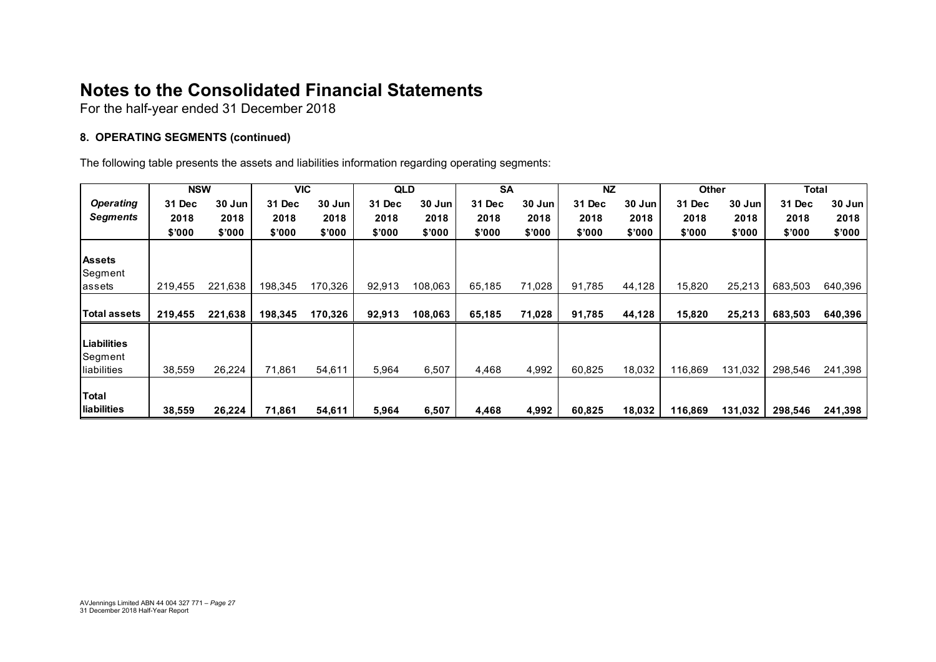For the half-year ended 31 December 2018

#### **8. OPERATING SEGMENTS (continued)**

The following table presents the assets and liabilities information regarding operating segments:

|                  | <b>NSW</b> |         | <b>VIC</b> |         | <b>QLD</b> |         | <b>SA</b> |        | <b>NZ</b> |        | <b>Other</b> |         | Total   |          |
|------------------|------------|---------|------------|---------|------------|---------|-----------|--------|-----------|--------|--------------|---------|---------|----------|
| <b>Operating</b> | 31 Dec     | 30 Jun  | 31 Dec     | 30 Jun  | 31 Dec     | 30 Jun  | 31 Dec    | 30 Jun | 31 Dec    | 30 Jun | 31 Dec       | 30 Jun  | 31 Dec  | $30$ Jun |
| Segments         | 2018       | 2018    | 2018       | 2018    | 2018       | 2018    | 2018      | 2018   | 2018      | 2018   | 2018         | 2018    | 2018    | 2018     |
|                  | \$'000     | \$'000  | \$'000     | \$'000  | \$'000     | \$'000  | \$'000    | \$'000 | \$'000    | \$'000 | \$'000       | \$'000  | \$'000  | \$'000   |
|                  |            |         |            |         |            |         |           |        |           |        |              |         |         |          |
| <b>Assets</b>    |            |         |            |         |            |         |           |        |           |        |              |         |         |          |
| Segment          |            |         |            |         |            |         |           |        |           |        |              |         |         |          |
| lassets          | 219,455    | 221,638 | 198,345    | 170,326 | 92,913     | 108,063 | 65,185    | 71,028 | 91,785    | 44,128 | 15,820       | 25,213  | 683,503 | 640,396  |
|                  |            |         |            |         |            |         |           |        |           |        |              |         |         |          |
| Total assets     | 219,455    | 221,638 | 198,345    | 170,326 | 92,913     | 108,063 | 65,185    | 71,028 | 91,785    | 44,128 | 15,820       | 25,213  | 683,503 | 640,396  |
|                  |            |         |            |         |            |         |           |        |           |        |              |         |         |          |
| Liabilities      |            |         |            |         |            |         |           |        |           |        |              |         |         |          |
| Segment          |            |         |            |         |            |         |           |        |           |        |              |         |         |          |
| liabilities      | 38,559     | 26,224  | 71,861     | 54,611  | 5,964      | 6,507   | 4,468     | 4,992  | 60.825    | 18,032 | 116,869      | 131,032 | 298,546 | 241,398  |
|                  |            |         |            |         |            |         |           |        |           |        |              |         |         |          |
| Total            |            |         |            |         |            |         |           |        |           |        |              |         |         |          |
| liabilities      | 38,559     | 26,224  | 71,861     | 54,611  | 5,964      | 6,507   | 4,468     | 4,992  | 60,825    | 18,032 | 116,869      | 131,032 | 298,546 | 241,398  |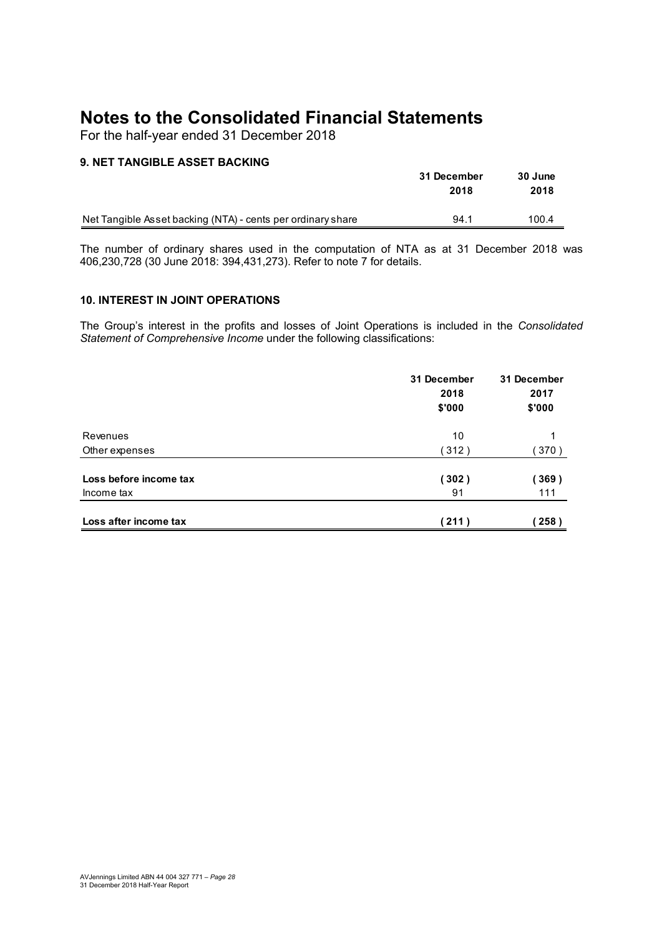For the half-year ended 31 December 2018

#### **9. NET TANGIBLE ASSET BACKING**

|                                                             | 31 December | 30 June |
|-------------------------------------------------------------|-------------|---------|
|                                                             | 2018        | 2018    |
| Net Tangible Asset backing (NTA) - cents per ordinary share | 94.1        | 100.4   |

The number of ordinary shares used in the computation of NTA as at 31 December 2018 was 406,230,728 (30 June 2018: 394,431,273). Refer to note 7 for details.

#### **10. INTEREST IN JOINT OPERATIONS**

The Group's interest in the profits and losses of Joint Operations is included in the *Consolidated Statement of Comprehensive Income* under the following classifications:

|                                      | 31 December<br>2018<br>\$'000 | 31 December<br>2017<br>\$'000 |
|--------------------------------------|-------------------------------|-------------------------------|
| Revenues                             | 10                            |                               |
| Other expenses                       | (312)                         | 370)                          |
| Loss before income tax<br>Income tax | (302)<br>91                   | (369)<br>111                  |
|                                      |                               |                               |
| Loss after income tax                | (211)                         | 258)                          |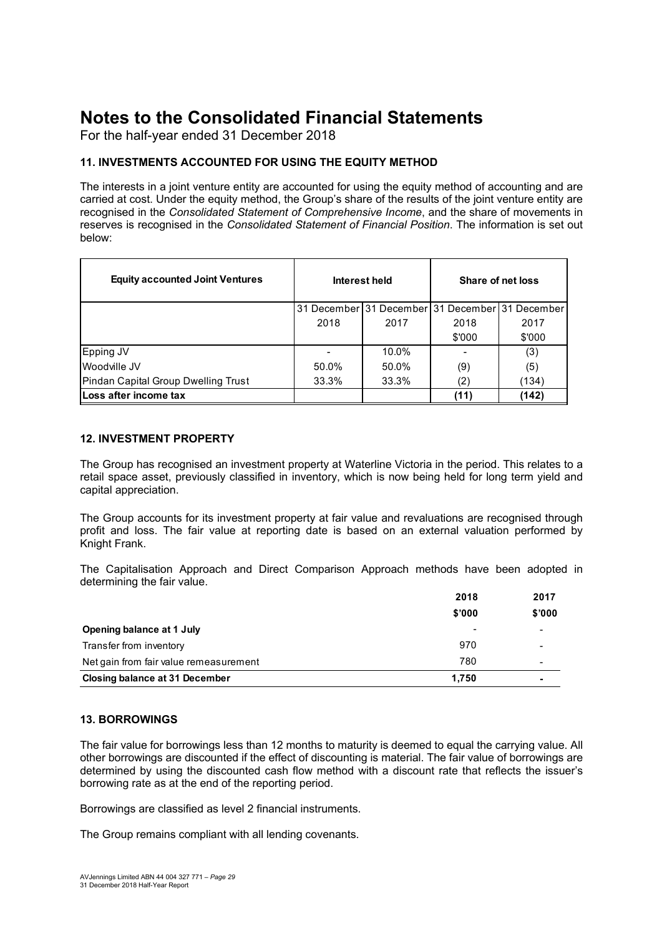For the half-year ended 31 December 2018

#### **11. INVESTMENTS ACCOUNTED FOR USING THE EQUITY METHOD**

The interests in a joint venture entity are accounted for using the equity method of accounting and are carried at cost. Under the equity method, the Group's share of the results of the joint venture entity are recognised in the *Consolidated Statement of Comprehensive Income*, and the share of movements in reserves is recognised in the *Consolidated Statement of Financial Position*. The information is set out below:

| <b>Equity accounted Joint Ventures</b> |       | Interest held                                   | Share of net loss |        |  |
|----------------------------------------|-------|-------------------------------------------------|-------------------|--------|--|
|                                        |       | 31 December 31 December 31 December 31 December |                   |        |  |
|                                        | 2018  | 2017                                            | 2018              | 2017   |  |
|                                        |       |                                                 | \$'000            | \$'000 |  |
| Epping JV                              |       | 10.0%                                           |                   | (3)    |  |
| Woodville JV                           | 50.0% | 50.0%                                           | (9)               | (5)    |  |
| Pindan Capital Group Dwelling Trust    | 33.3% | 33.3%                                           | (2)               | (134)  |  |
| Loss after income tax                  |       |                                                 | (11)              | (142)  |  |

#### **12. INVESTMENT PROPERTY**

The Group has recognised an investment property at Waterline Victoria in the period. This relates to a retail space asset, previously classified in inventory, which is now being held for long term yield and capital appreciation.

The Group accounts for its investment property at fair value and revaluations are recognised through profit and loss. The fair value at reporting date is based on an external valuation performed by Knight Frank.

The Capitalisation Approach and Direct Comparison Approach methods have been adopted in determining the fair value.

|                                        | 2018   | 2017   |
|----------------------------------------|--------|--------|
|                                        | \$'000 | \$7000 |
| Opening balance at 1 July              |        |        |
| Transfer from inventory                | 970    |        |
| Net gain from fair value remeasurement | 780    |        |
| Closing balance at 31 December         | 1.750  |        |

#### **13. BORROWINGS**

The fair value for borrowings less than 12 months to maturity is deemed to equal the carrying value. All other borrowings are discounted if the effect of discounting is material. The fair value of borrowings are determined by using the discounted cash flow method with a discount rate that reflects the issuer's borrowing rate as at the end of the reporting period.

Borrowings are classified as level 2 financial instruments.

The Group remains compliant with all lending covenants.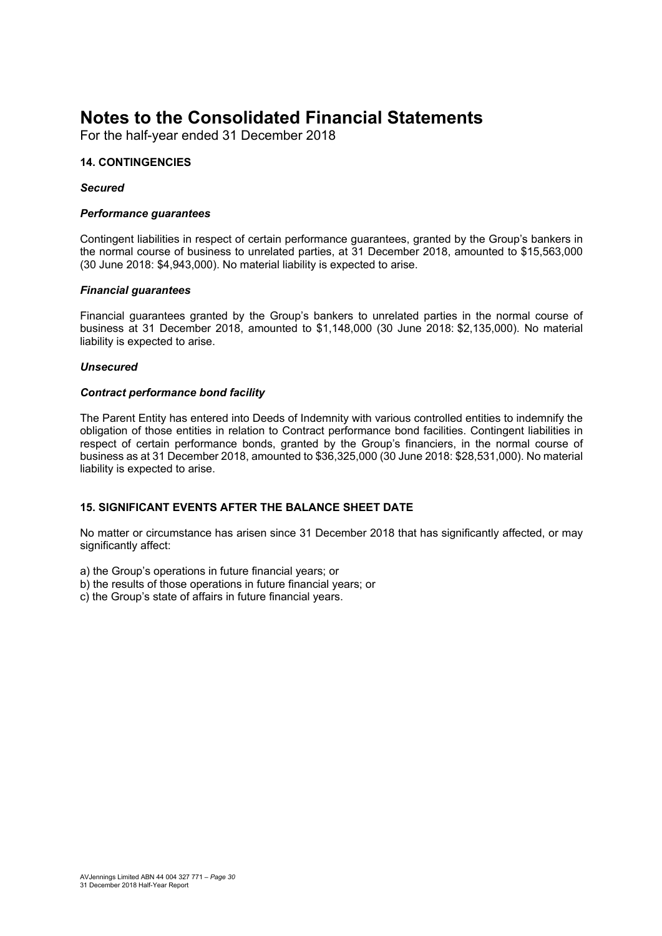For the half-year ended 31 December 2018

#### **14. CONTINGENCIES**

#### *Secured*

#### *Performance guarantees*

Contingent liabilities in respect of certain performance guarantees, granted by the Group's bankers in the normal course of business to unrelated parties, at 31 December 2018, amounted to \$15,563,000 (30 June 2018: \$4,943,000). No material liability is expected to arise.

#### *Financial guarantees*

Financial guarantees granted by the Group's bankers to unrelated parties in the normal course of business at 31 December 2018, amounted to \$1,148,000 (30 June 2018: \$2,135,000). No material liability is expected to arise.

#### *Unsecured*

#### *Contract performance bond facility*

The Parent Entity has entered into Deeds of Indemnity with various controlled entities to indemnify the obligation of those entities in relation to Contract performance bond facilities. Contingent liabilities in respect of certain performance bonds, granted by the Group's financiers, in the normal course of business as at 31 December 2018, amounted to \$36,325,000 (30 June 2018: \$28,531,000). No material liability is expected to arise.

#### **15. SIGNIFICANT EVENTS AFTER THE BALANCE SHEET DATE**

No matter or circumstance has arisen since 31 December 2018 that has significantly affected, or may significantly affect:

a) the Group's operations in future financial years; or

- b) the results of those operations in future financial years; or
- c) the Group's state of affairs in future financial years.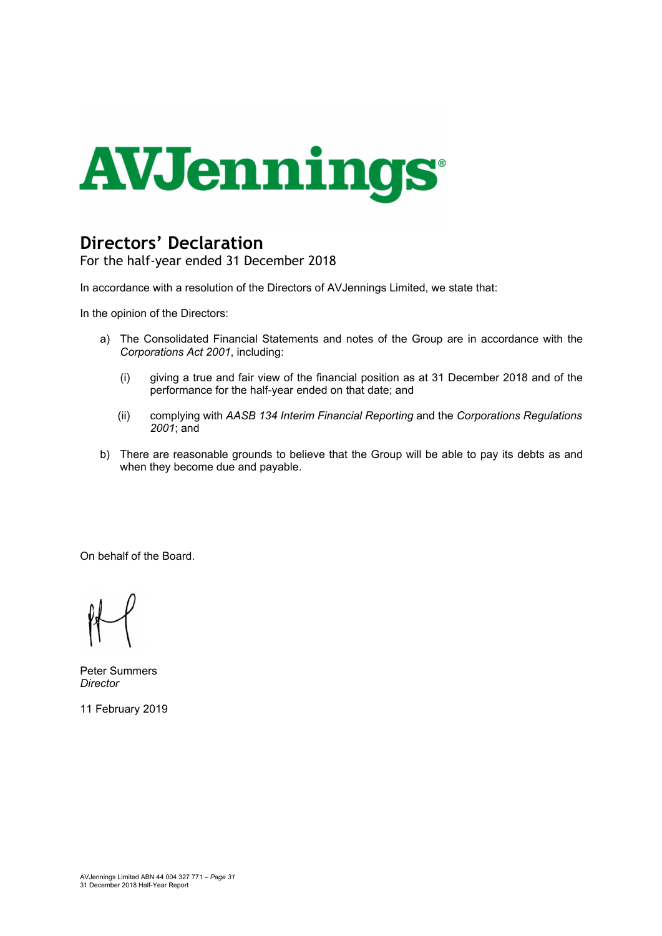

## **Directors' Declaration**

For the half-year ended 31 December 2018

In accordance with a resolution of the Directors of AVJennings Limited, we state that:

In the opinion of the Directors:

- a) The Consolidated Financial Statements and notes of the Group are in accordance with the *Corporations Act 2001*, including:
	- (i) giving a true and fair view of the financial position as at 31 December 2018 and of the performance for the half-year ended on that date; and
	- (ii) complying with *AASB 134 Interim Financial Reporting* and the *Corporations Regulations 2001*; and
- b) There are reasonable grounds to believe that the Group will be able to pay its debts as and when they become due and payable.

On behalf of the Board.

Peter Summers *Director* 

11 February 2019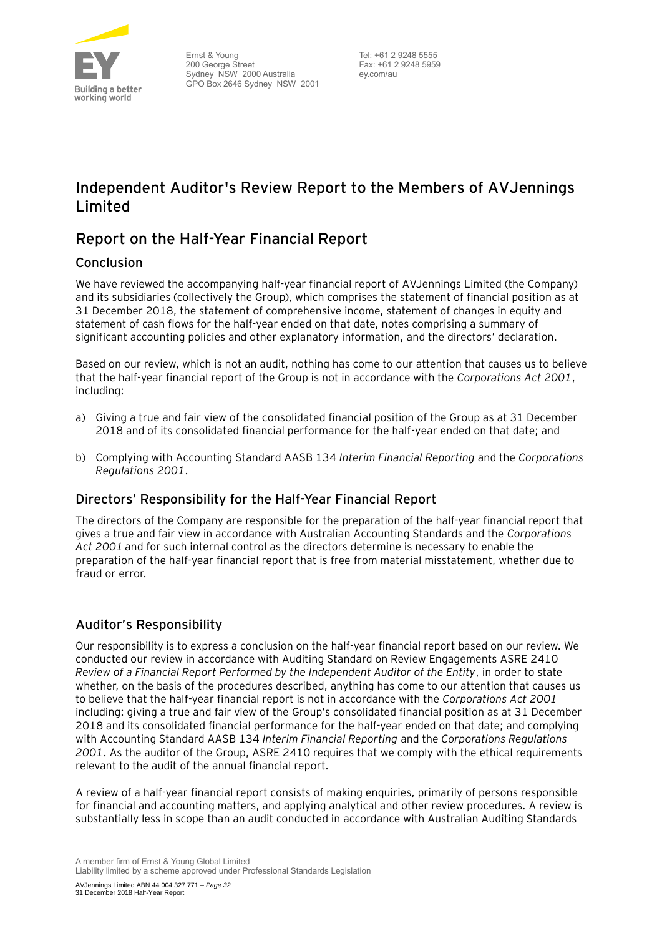

## **Independent Auditor's Review Report to the Members of AVJennings Limited**

### **Report on the Half-Year Financial Report**

#### Conclusion

We have reviewed the accompanying half-year financial report of AVJennings Limited (the Company) and its subsidiaries (collectively the Group), which comprises the statement of financial position as at 31 December 2018, the statement of comprehensive income, statement of changes in equity and statement of cash flows for the half-year ended on that date, notes comprising a summary of significant accounting policies and other explanatory information, and the directors' declaration.

Based on our review, which is not an audit, nothing has come to our attention that causes us to believe that the half-year financial report of the Group is not in accordance with the *Corporations Act 2001*, including:

- a) Giving a true and fair view of the consolidated financial position of the Group as at 31 December 2018 and of its consolidated financial performance for the half-year ended on that date; and
- b) Complying with Accounting Standard AASB 134 *Interim Financial Reporting* and the *Corporations Regulations 2001*.

#### Directors' Responsibility for the Half-Year Financial Report

The directors of the Company are responsible for the preparation of the half-year financial report that gives a true and fair view in accordance with Australian Accounting Standards and the *Corporations Act 2001* and for such internal control as the directors determine is necessary to enable the preparation of the half-year financial report that is free from material misstatement, whether due to fraud or error.

#### Auditor's Responsibility

Our responsibility is to express a conclusion on the half-year financial report based on our review. We conducted our review in accordance with Auditing Standard on Review Engagements ASRE 2410 *Review of a Financial Report Performed by the Independent Auditor of the Entity*, in order to state whether, on the basis of the procedures described, anything has come to our attention that causes us to believe that the half-year financial report is not in accordance with the *Corporations Act 2001* including: giving a true and fair view of the Group's consolidated financial position as at 31 December 2018 and its consolidated financial performance for the half-year ended on that date; and complying with Accounting Standard AASB 134 *Interim Financial Reporting* and the *Corporations Regulations 2001*. As the auditor of the Group, ASRE 2410 requires that we comply with the ethical requirements relevant to the audit of the annual financial report.

A review of a half-year financial report consists of making enquiries, primarily of persons responsible for financial and accounting matters, and applying analytical and other review procedures. A review is substantially less in scope than an audit conducted in accordance with Australian Auditing Standards

A member firm of Ernst & Young Global Limited Liability limited by a scheme approved under Professional Standards Legislation

AVJennings Limited ABN 44 004 327 771 – *Page 32* 31 December 2018 Half-Year Report